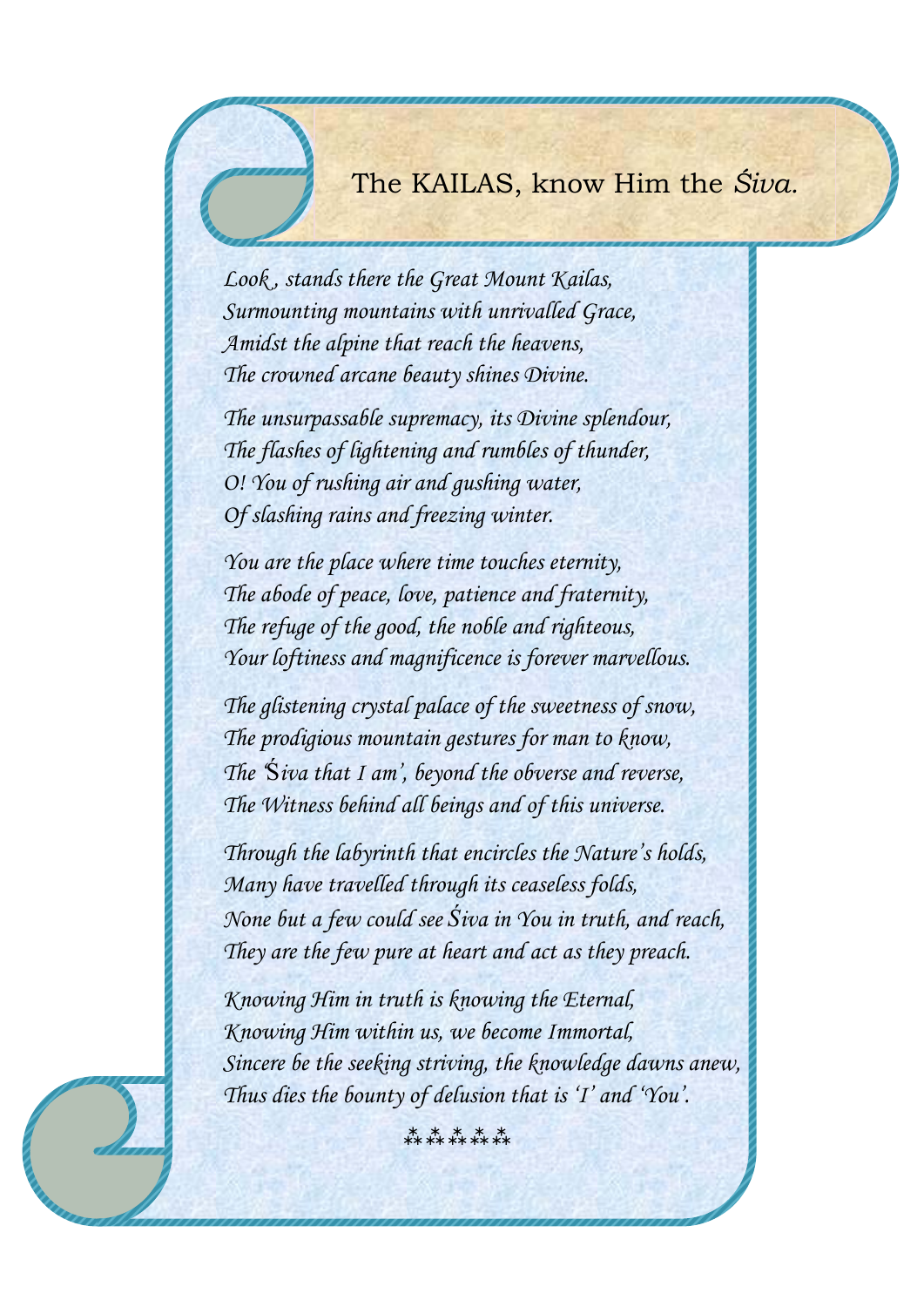# The KAILAS, know Him the *Śiva.*

*Look , stands there the Great Mount Kailas, Surmounting mountains with unrivalled Grace, Amidst the alpine that reach the heavens, The crowned arcane beauty shines Divine.* 

*The unsurpassable supremacy, its Divine splendour, The flashes of lightening and rumbles of thunder, O! You of rushing air and gushing water, Of slashing rains and freezing winter.* 

*You are the place where time touches eternity, The abode of peace, love, patience and fraternity, The refuge of the good, the noble and righteous, Your loftiness and magnificence is forever marvellous.* 

*The glistening crystal palace of the sweetness of snow, The prodigious mountain gestures for man to know, The '*Ś*iva that I am', beyond the obverse and reverse, The Witness behind all beings and of this universe.* 

*Through the labyrinth that encircles the Nature's holds, Many have travelled through its ceaseless folds, None but a few could see Śiva in You in truth, and reach, They are the few pure at heart and act as they preach.* 

*Knowing Him in truth is knowing the Eternal, Knowing Him within us, we become Immortal, Sincere be the seeking striving, the knowledge dawns anew, Thus dies the bounty of delusion that is 'I' and 'You'.* 



 $*********$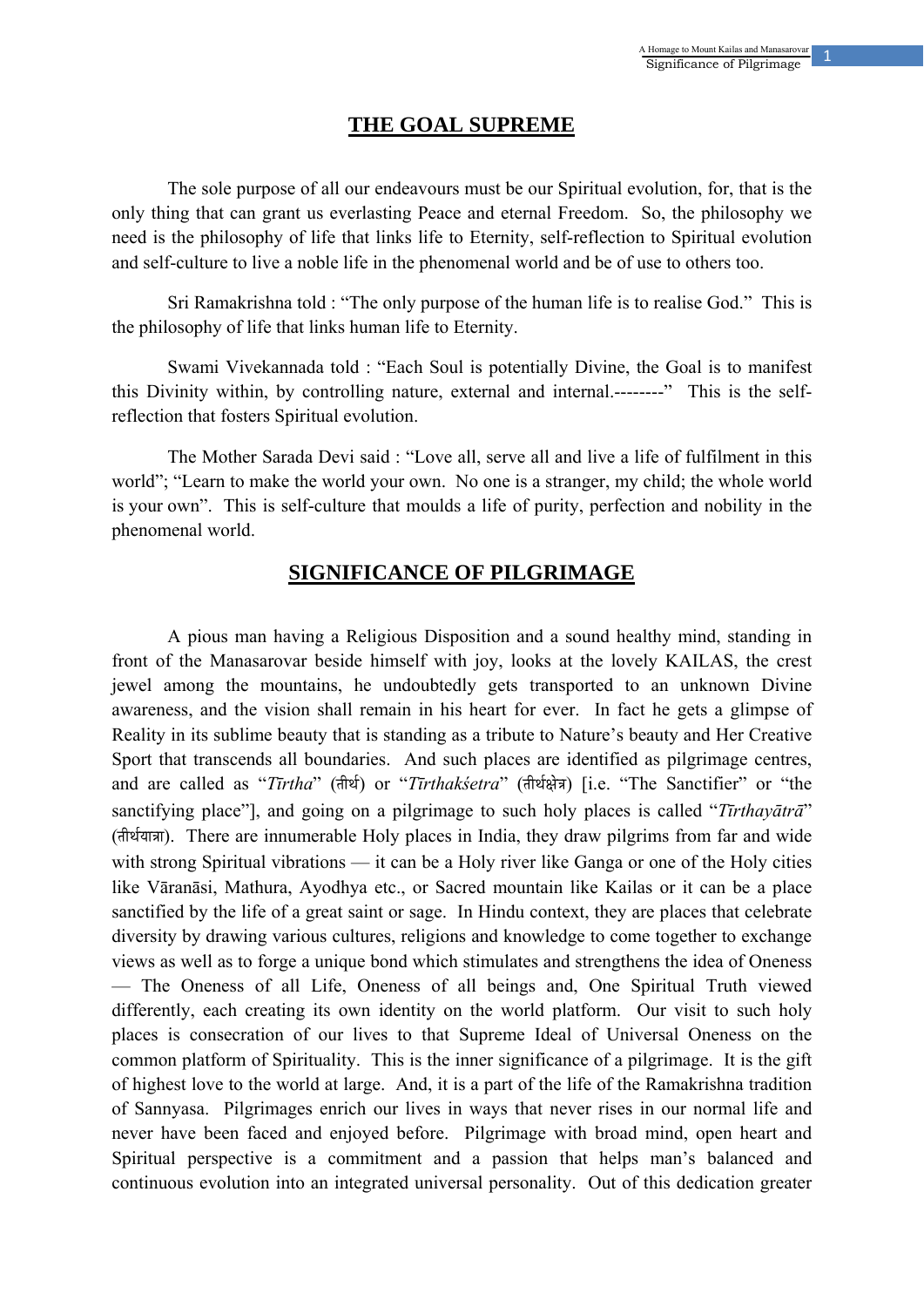## **THE GOAL SUPREME**

 The sole purpose of all our endeavours must be our Spiritual evolution, for, that is the only thing that can grant us everlasting Peace and eternal Freedom. So, the philosophy we need is the philosophy of life that links life to Eternity, self-reflection to Spiritual evolution and self-culture to live a noble life in the phenomenal world and be of use to others too.

 Sri Ramakrishna told : "The only purpose of the human life is to realise God." This is the philosophy of life that links human life to Eternity.

 Swami Vivekannada told : "Each Soul is potentially Divine, the Goal is to manifest this Divinity within, by controlling nature, external and internal.--------" This is the selfreflection that fosters Spiritual evolution.

 The Mother Sarada Devi said : "Love all, serve all and live a life of fulfilment in this world"; "Learn to make the world your own. No one is a stranger, my child; the whole world is your own". This is self-culture that moulds a life of purity, perfection and nobility in the phenomenal world.

## **SIGNIFICANCE OF PILGRIMAGE**

 A pious man having a Religious Disposition and a sound healthy mind, standing in front of the Manasarovar beside himself with joy, looks at the lovely KAILAS, the crest jewel among the mountains, he undoubtedly gets transported to an unknown Divine awareness, and the vision shall remain in his heart for ever. In fact he gets a glimpse of Reality in its sublime beauty that is standing as a tribute to Nature's beauty and Her Creative Sport that transcends all boundaries. And such places are identified as pilgrimage centres, and are called as "*Tīrtha*" (तीर्थ) or "*Tīrthakśetra*" (तीर्थक्षेत्र) [i.e. "The Sanctifier" or "the sanctifying place"], and going on a pilgrimage to such holy places is called "*Tīrthayātrā*"  $(\hat{\theta})$  ( $\hat{\theta}$ ). There are innumerable Holy places in India, they draw pilgrims from far and wide with strong Spiritual vibrations — it can be a Holy river like Ganga or one of the Holy cities like Vāranāsi, Mathura, Ayodhya etc., or Sacred mountain like Kailas or it can be a place sanctified by the life of a great saint or sage. In Hindu context, they are places that celebrate diversity by drawing various cultures, religions and knowledge to come together to exchange views as well as to forge a unique bond which stimulates and strengthens the idea of Oneness — The Oneness of all Life, Oneness of all beings and, One Spiritual Truth viewed differently, each creating its own identity on the world platform. Our visit to such holy places is consecration of our lives to that Supreme Ideal of Universal Oneness on the common platform of Spirituality. This is the inner significance of a pilgrimage. It is the gift of highest love to the world at large. And, it is a part of the life of the Ramakrishna tradition of Sannyasa. Pilgrimages enrich our lives in ways that never rises in our normal life and never have been faced and enjoyed before. Pilgrimage with broad mind, open heart and Spiritual perspective is a commitment and a passion that helps man's balanced and continuous evolution into an integrated universal personality. Out of this dedication greater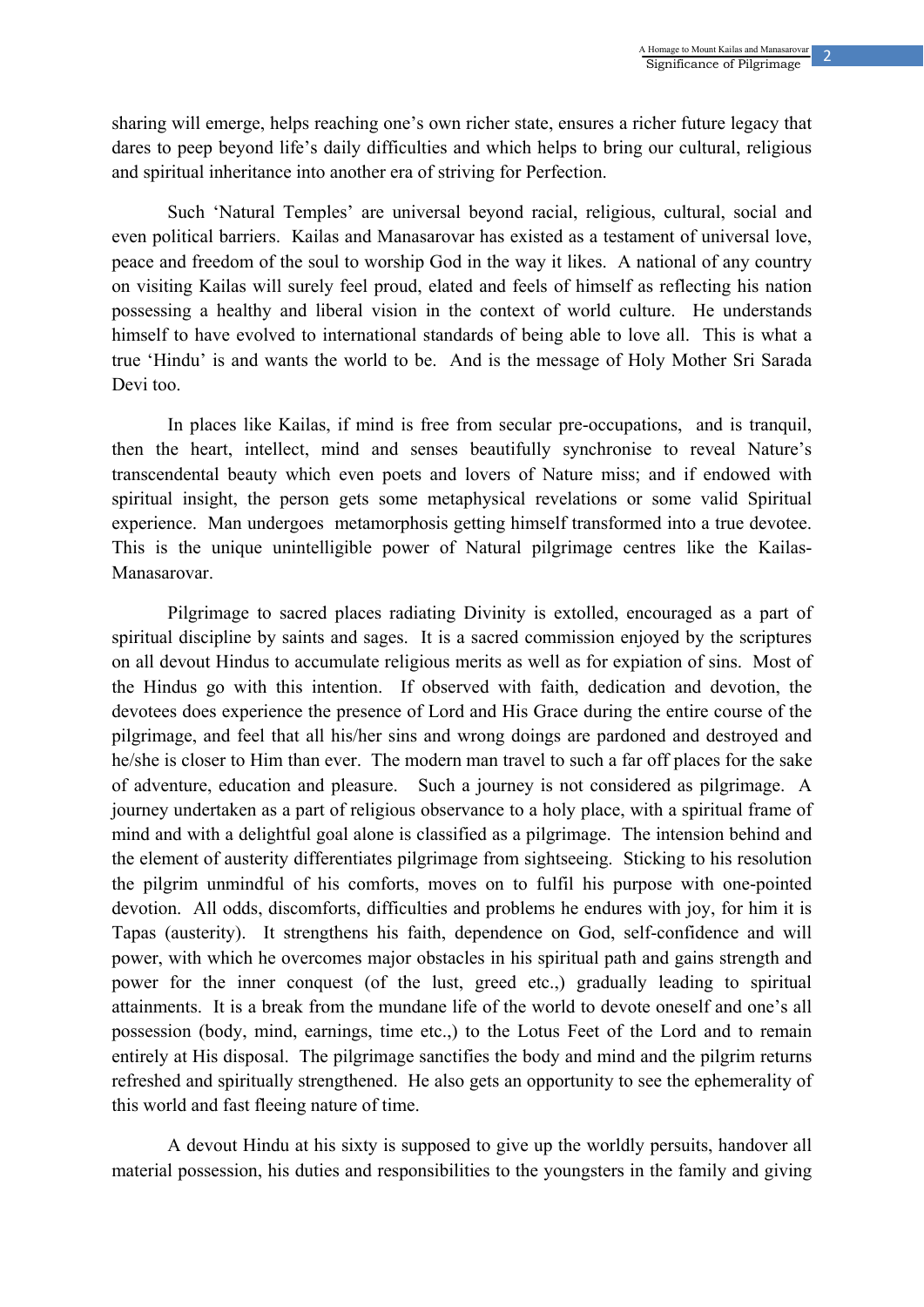sharing will emerge, helps reaching one's own richer state, ensures a richer future legacy that dares to peep beyond life's daily difficulties and which helps to bring our cultural, religious and spiritual inheritance into another era of striving for Perfection.

 Such 'Natural Temples' are universal beyond racial, religious, cultural, social and even political barriers. Kailas and Manasarovar has existed as a testament of universal love, peace and freedom of the soul to worship God in the way it likes. A national of any country on visiting Kailas will surely feel proud, elated and feels of himself as reflecting his nation possessing a healthy and liberal vision in the context of world culture. He understands himself to have evolved to international standards of being able to love all. This is what a true 'Hindu' is and wants the world to be. And is the message of Holy Mother Sri Sarada Devi too.

 In places like Kailas, if mind is free from secular pre-occupations, and is tranquil, then the heart, intellect, mind and senses beautifully synchronise to reveal Nature's transcendental beauty which even poets and lovers of Nature miss; and if endowed with spiritual insight, the person gets some metaphysical revelations or some valid Spiritual experience. Man undergoes metamorphosis getting himself transformed into a true devotee. This is the unique unintelligible power of Natural pilgrimage centres like the Kailas-Manasarovar.

 Pilgrimage to sacred places radiating Divinity is extolled, encouraged as a part of spiritual discipline by saints and sages. It is a sacred commission enjoyed by the scriptures on all devout Hindus to accumulate religious merits as well as for expiation of sins. Most of the Hindus go with this intention. If observed with faith, dedication and devotion, the devotees does experience the presence of Lord and His Grace during the entire course of the pilgrimage, and feel that all his/her sins and wrong doings are pardoned and destroyed and he/she is closer to Him than ever. The modern man travel to such a far off places for the sake of adventure, education and pleasure. Such a journey is not considered as pilgrimage. A journey undertaken as a part of religious observance to a holy place, with a spiritual frame of mind and with a delightful goal alone is classified as a pilgrimage. The intension behind and the element of austerity differentiates pilgrimage from sightseeing. Sticking to his resolution the pilgrim unmindful of his comforts, moves on to fulfil his purpose with one-pointed devotion. All odds, discomforts, difficulties and problems he endures with joy, for him it is Tapas (austerity). It strengthens his faith, dependence on God, self-confidence and will power, with which he overcomes major obstacles in his spiritual path and gains strength and power for the inner conquest (of the lust, greed etc.,) gradually leading to spiritual attainments. It is a break from the mundane life of the world to devote oneself and one's all possession (body, mind, earnings, time etc.,) to the Lotus Feet of the Lord and to remain entirely at His disposal. The pilgrimage sanctifies the body and mind and the pilgrim returns refreshed and spiritually strengthened. He also gets an opportunity to see the ephemerality of this world and fast fleeing nature of time.

 A devout Hindu at his sixty is supposed to give up the worldly persuits, handover all material possession, his duties and responsibilities to the youngsters in the family and giving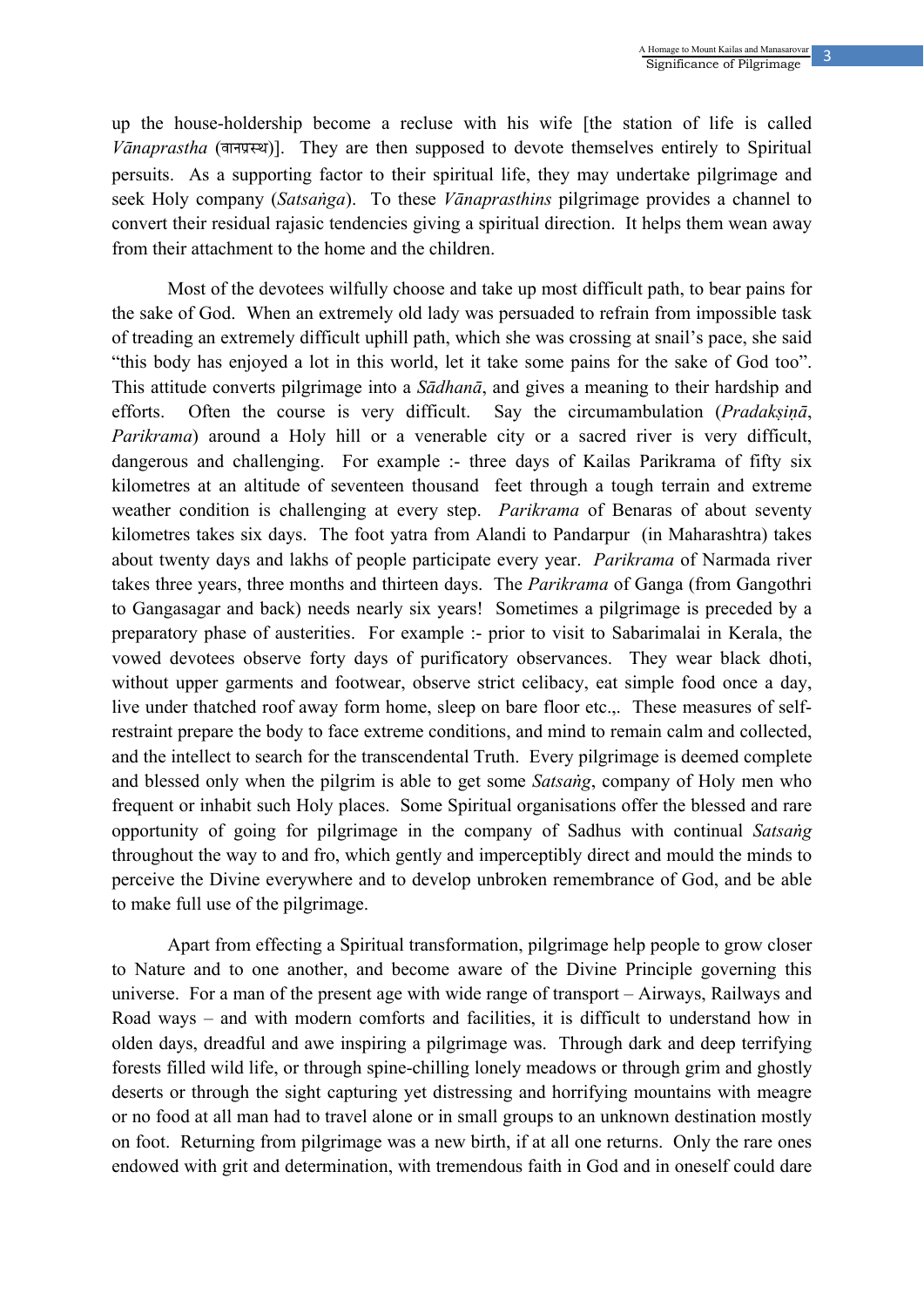up the house-holdership become a recluse with his wife [the station of life is called  $V\bar{a}$ *naprastha* (वानप्रस्थ)]. They are then supposed to devote themselves entirely to Spiritual persuits. As a supporting factor to their spiritual life, they may undertake pilgrimage and seek Holy company (*Satsaṅga*). To these *Vānaprasthins* pilgrimage provides a channel to convert their residual rajasic tendencies giving a spiritual direction. It helps them wean away from their attachment to the home and the children.

 Most of the devotees wilfully choose and take up most difficult path, to bear pains for the sake of God. When an extremely old lady was persuaded to refrain from impossible task of treading an extremely difficult uphill path, which she was crossing at snail's pace, she said "this body has enjoyed a lot in this world, let it take some pains for the sake of God too". This attitude converts pilgrimage into a *Sādhanā*, and gives a meaning to their hardship and efforts. Often the course is very difficult. Say the circumambulation (*Pradakṣiṇā*, *Parikrama*) around a Holy hill or a venerable city or a sacred river is very difficult, dangerous and challenging. For example :- three days of Kailas Parikrama of fifty six kilometres at an altitude of seventeen thousand feet through a tough terrain and extreme weather condition is challenging at every step. *Parikrama* of Benaras of about seventy kilometres takes six days. The foot yatra from Alandi to Pandarpur (in Maharashtra) takes about twenty days and lakhs of people participate every year. *Parikrama* of Narmada river takes three years, three months and thirteen days. The *Parikrama* of Ganga (from Gangothri to Gangasagar and back) needs nearly six years! Sometimes a pilgrimage is preceded by a preparatory phase of austerities. For example :- prior to visit to Sabarimalai in Kerala, the vowed devotees observe forty days of purificatory observances. They wear black dhoti, without upper garments and footwear, observe strict celibacy, eat simple food once a day, live under thatched roof away form home, sleep on bare floor etc.,. These measures of selfrestraint prepare the body to face extreme conditions, and mind to remain calm and collected, and the intellect to search for the transcendental Truth. Every pilgrimage is deemed complete and blessed only when the pilgrim is able to get some *Satsaṅg*, company of Holy men who frequent or inhabit such Holy places. Some Spiritual organisations offer the blessed and rare opportunity of going for pilgrimage in the company of Sadhus with continual *Satsaṅg* throughout the way to and fro, which gently and imperceptibly direct and mould the minds to perceive the Divine everywhere and to develop unbroken remembrance of God, and be able to make full use of the pilgrimage.

 Apart from effecting a Spiritual transformation, pilgrimage help people to grow closer to Nature and to one another, and become aware of the Divine Principle governing this universe. For a man of the present age with wide range of transport – Airways, Railways and Road ways – and with modern comforts and facilities, it is difficult to understand how in olden days, dreadful and awe inspiring a pilgrimage was. Through dark and deep terrifying forests filled wild life, or through spine-chilling lonely meadows or through grim and ghostly deserts or through the sight capturing yet distressing and horrifying mountains with meagre or no food at all man had to travel alone or in small groups to an unknown destination mostly on foot. Returning from pilgrimage was a new birth, if at all one returns. Only the rare ones endowed with grit and determination, with tremendous faith in God and in oneself could dare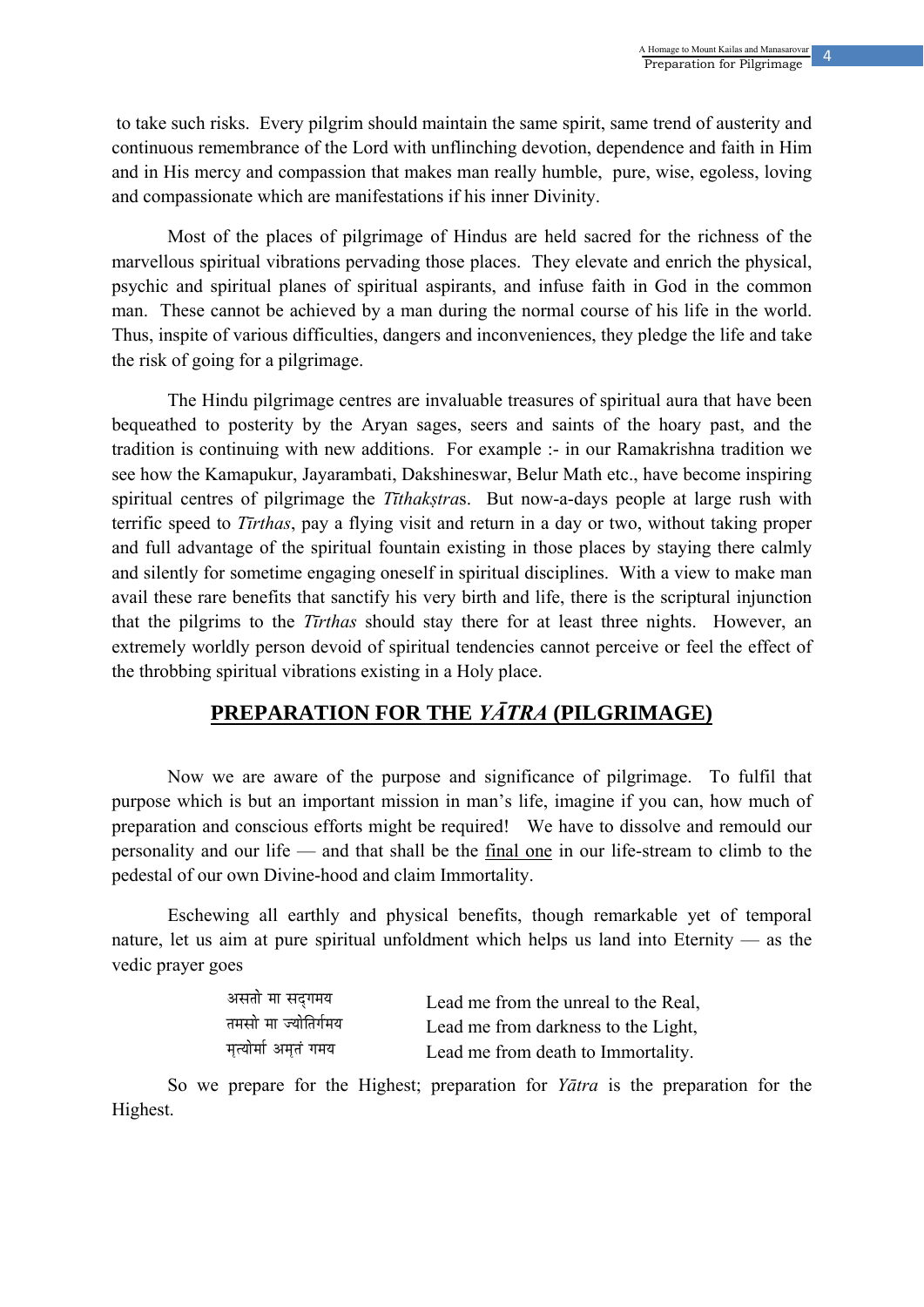to take such risks. Every pilgrim should maintain the same spirit, same trend of austerity and continuous remembrance of the Lord with unflinching devotion, dependence and faith in Him and in His mercy and compassion that makes man really humble, pure, wise, egoless, loving and compassionate which are manifestations if his inner Divinity.

 Most of the places of pilgrimage of Hindus are held sacred for the richness of the marvellous spiritual vibrations pervading those places. They elevate and enrich the physical, psychic and spiritual planes of spiritual aspirants, and infuse faith in God in the common man. These cannot be achieved by a man during the normal course of his life in the world. Thus, inspite of various difficulties, dangers and inconveniences, they pledge the life and take the risk of going for a pilgrimage.

 The Hindu pilgrimage centres are invaluable treasures of spiritual aura that have been bequeathed to posterity by the Aryan sages, seers and saints of the hoary past, and the tradition is continuing with new additions. For example :- in our Ramakrishna tradition we see how the Kamapukur, Jayarambati, Dakshineswar, Belur Math etc., have become inspiring spiritual centres of pilgrimage the *Tīthakṣtra*s.But now-a-days people at large rush with terrific speed to *Tīrthas*, pay a flying visit and return in a day or two, without taking proper and full advantage of the spiritual fountain existing in those places by staying there calmly and silently for sometime engaging oneself in spiritual disciplines. With a view to make man avail these rare benefits that sanctify his very birth and life, there is the scriptural injunction that the pilgrims to the *Tīrthas* should stay there for at least three nights. However, an extremely worldly person devoid of spiritual tendencies cannot perceive or feel the effect of the throbbing spiritual vibrations existing in a Holy place.

## **PREPARATION FOR THE** *YĀTRA* **(PILGRIMAGE)**

 Now we are aware of the purpose and significance of pilgrimage. To fulfil that purpose which is but an important mission in man's life, imagine if you can, how much of preparation and conscious efforts might be required! We have to dissolve and remould our personality and our life — and that shall be the final one in our life-stream to climb to the pedestal of our own Divine-hood and claim Immortality.

 Eschewing all earthly and physical benefits, though remarkable yet of temporal nature, let us aim at pure spiritual unfoldment which helps us land into Eternity — as the vedic prayer goes

| असतो मा सदगमय        | Lead me from the unreal to the Real, |
|----------------------|--------------------------------------|
| तमसो मा ज्योतिर्गमय  | Lead me from darkness to the Light,  |
| मृत्योर्मा अमृतं गमय | Lead me from death to Immortality.   |

 So we prepare for the Highest; preparation for *Yātra* is the preparation for the Highest.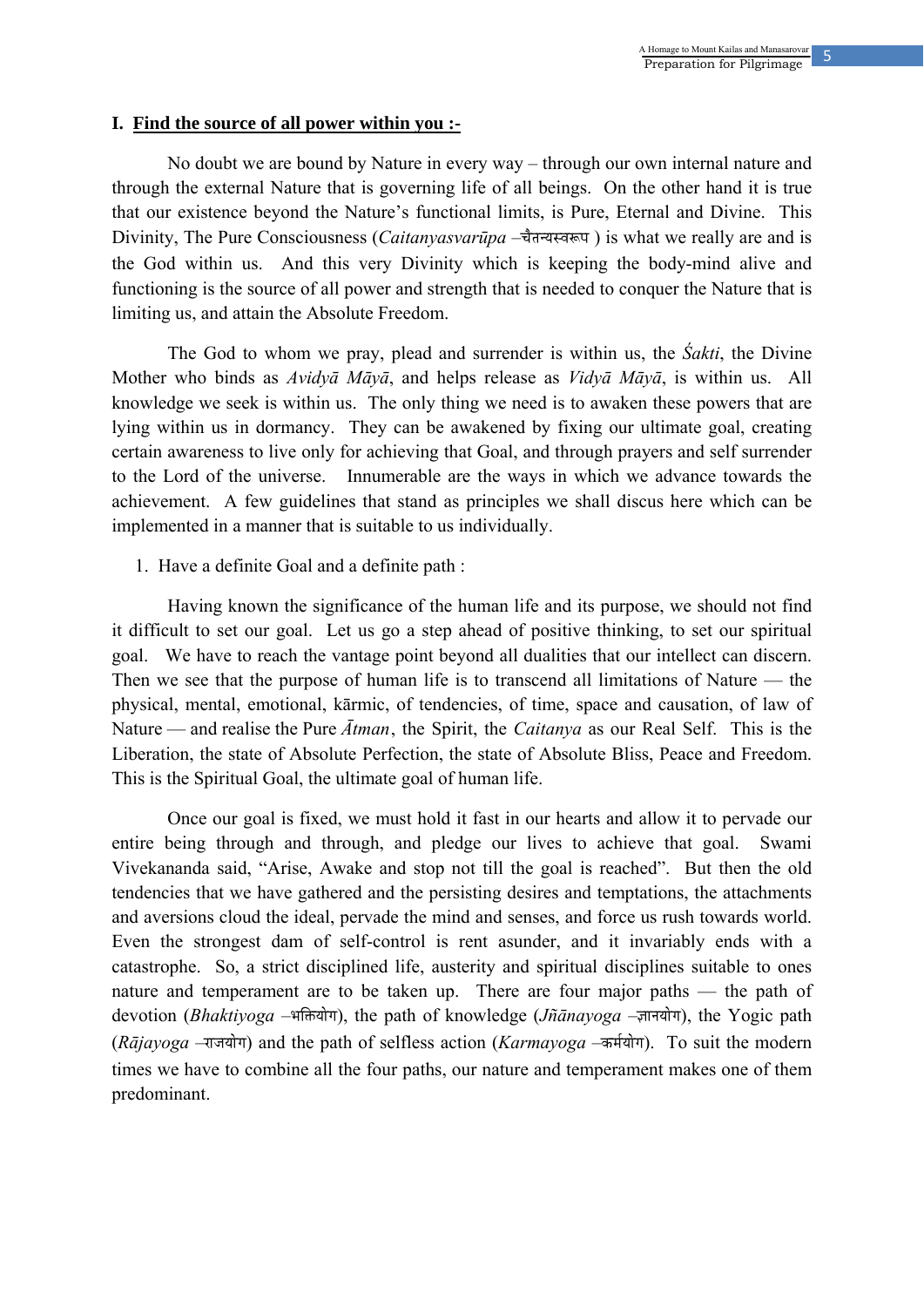#### **I. Find the source of all power within you :-**

 No doubt we are bound by Nature in every way – through our own internal nature and through the external Nature that is governing life of all beings. On the other hand it is true that our existence beyond the Nature's functional limits, is Pure, Eternal and Divine. This Divinity, The Pure Consciousness (*Caitanyasvarūpa* –चैतन्यस्वरूप) is what we really are and is the God within us. And this very Divinity which is keeping the body-mind alive and functioning is the source of all power and strength that is needed to conquer the Nature that is limiting us, and attain the Absolute Freedom.

 The God to whom we pray, plead and surrender is within us, the *Śakti*, the Divine Mother who binds as *Avidyā Māyā*, and helps release as *Vidyā Māyā*, is within us. All knowledge we seek is within us. The only thing we need is to awaken these powers that are lying within us in dormancy. They can be awakened by fixing our ultimate goal, creating certain awareness to live only for achieving that Goal, and through prayers and self surrender to the Lord of the universe. Innumerable are the ways in which we advance towards the achievement. A few guidelines that stand as principles we shall discus here which can be implemented in a manner that is suitable to us individually.

1. Have a definite Goal and a definite path :

 Having known the significance of the human life and its purpose, we should not find it difficult to set our goal. Let us go a step ahead of positive thinking, to set our spiritual goal. We have to reach the vantage point beyond all dualities that our intellect can discern. Then we see that the purpose of human life is to transcend all limitations of Nature — the physical, mental, emotional, kārmic, of tendencies, of time, space and causation, of law of Nature — and realise the Pure *Ātman* , the Spirit, the *Caitanya* as our Real Self. This is the Liberation, the state of Absolute Perfection, the state of Absolute Bliss, Peace and Freedom. This is the Spiritual Goal, the ultimate goal of human life.

 Once our goal is fixed, we must hold it fast in our hearts and allow it to pervade our entire being through and through, and pledge our lives to achieve that goal. Swami Vivekananda said, "Arise, Awake and stop not till the goal is reached". But then the old tendencies that we have gathered and the persisting desires and temptations, the attachments and aversions cloud the ideal, pervade the mind and senses, and force us rush towards world. Even the strongest dam of self-control is rent asunder, and it invariably ends with a catastrophe. So, a strict disciplined life, austerity and spiritual disciplines suitable to ones nature and temperament are to be taken up. There are four major paths — the path of devotion (*Bhaktiyoga* –भक्तियोग), the path of knowledge (*Jñanayoga* –ज्ञानयोग), the Yogic path *(Rājayoga –*गजयोग) and the path of selfless action *(Karmayoga –*कर्मयोग). To suit the modern times we have to combine all the four paths, our nature and temperament makes one of them predominant.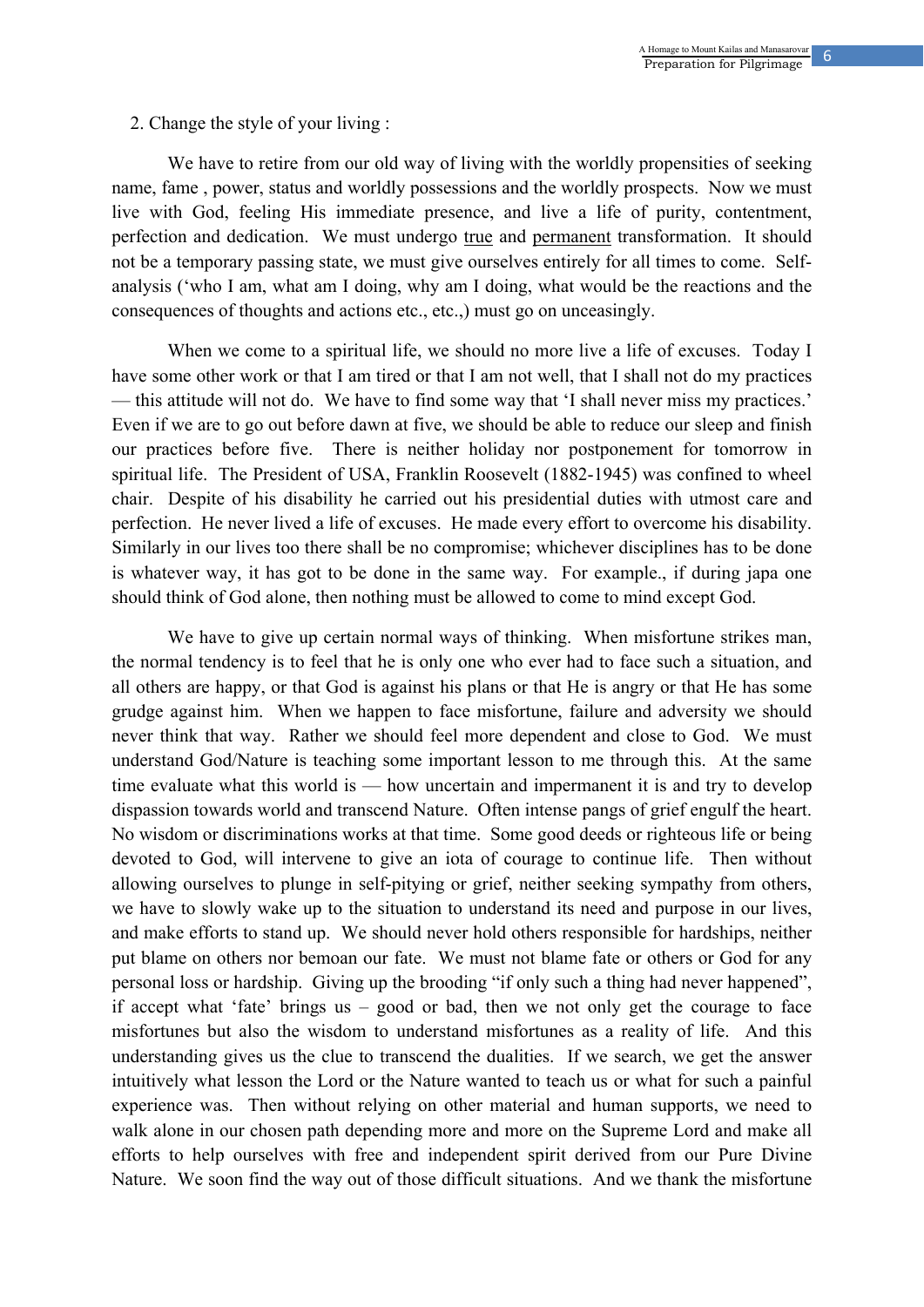2. Change the style of your living :

 We have to retire from our old way of living with the worldly propensities of seeking name, fame , power, status and worldly possessions and the worldly prospects. Now we must live with God, feeling His immediate presence, and live a life of purity, contentment, perfection and dedication. We must undergo true and permanent transformation. It should not be a temporary passing state, we must give ourselves entirely for all times to come. Selfanalysis ('who I am, what am I doing, why am I doing, what would be the reactions and the consequences of thoughts and actions etc., etc.,) must go on unceasingly.

When we come to a spiritual life, we should no more live a life of excuses. Today I have some other work or that I am tired or that I am not well, that I shall not do my practices — this attitude will not do. We have to find some way that 'I shall never miss my practices.' Even if we are to go out before dawn at five, we should be able to reduce our sleep and finish our practices before five. There is neither holiday nor postponement for tomorrow in spiritual life. The President of USA, Franklin Roosevelt (1882-1945) was confined to wheel chair. Despite of his disability he carried out his presidential duties with utmost care and perfection. He never lived a life of excuses. He made every effort to overcome his disability. Similarly in our lives too there shall be no compromise; whichever disciplines has to be done is whatever way, it has got to be done in the same way. For example., if during japa one should think of God alone, then nothing must be allowed to come to mind except God.

We have to give up certain normal ways of thinking. When misfortune strikes man, the normal tendency is to feel that he is only one who ever had to face such a situation, and all others are happy, or that God is against his plans or that He is angry or that He has some grudge against him. When we happen to face misfortune, failure and adversity we should never think that way. Rather we should feel more dependent and close to God. We must understand God/Nature is teaching some important lesson to me through this. At the same time evaluate what this world is — how uncertain and impermanent it is and try to develop dispassion towards world and transcend Nature. Often intense pangs of grief engulf the heart. No wisdom or discriminations works at that time. Some good deeds or righteous life or being devoted to God, will intervene to give an iota of courage to continue life. Then without allowing ourselves to plunge in self-pitying or grief, neither seeking sympathy from others, we have to slowly wake up to the situation to understand its need and purpose in our lives, and make efforts to stand up. We should never hold others responsible for hardships, neither put blame on others nor bemoan our fate. We must not blame fate or others or God for any personal loss or hardship. Giving up the brooding "if only such a thing had never happened", if accept what 'fate' brings us – good or bad, then we not only get the courage to face misfortunes but also the wisdom to understand misfortunes as a reality of life. And this understanding gives us the clue to transcend the dualities. If we search, we get the answer intuitively what lesson the Lord or the Nature wanted to teach us or what for such a painful experience was. Then without relying on other material and human supports, we need to walk alone in our chosen path depending more and more on the Supreme Lord and make all efforts to help ourselves with free and independent spirit derived from our Pure Divine Nature. We soon find the way out of those difficult situations. And we thank the misfortune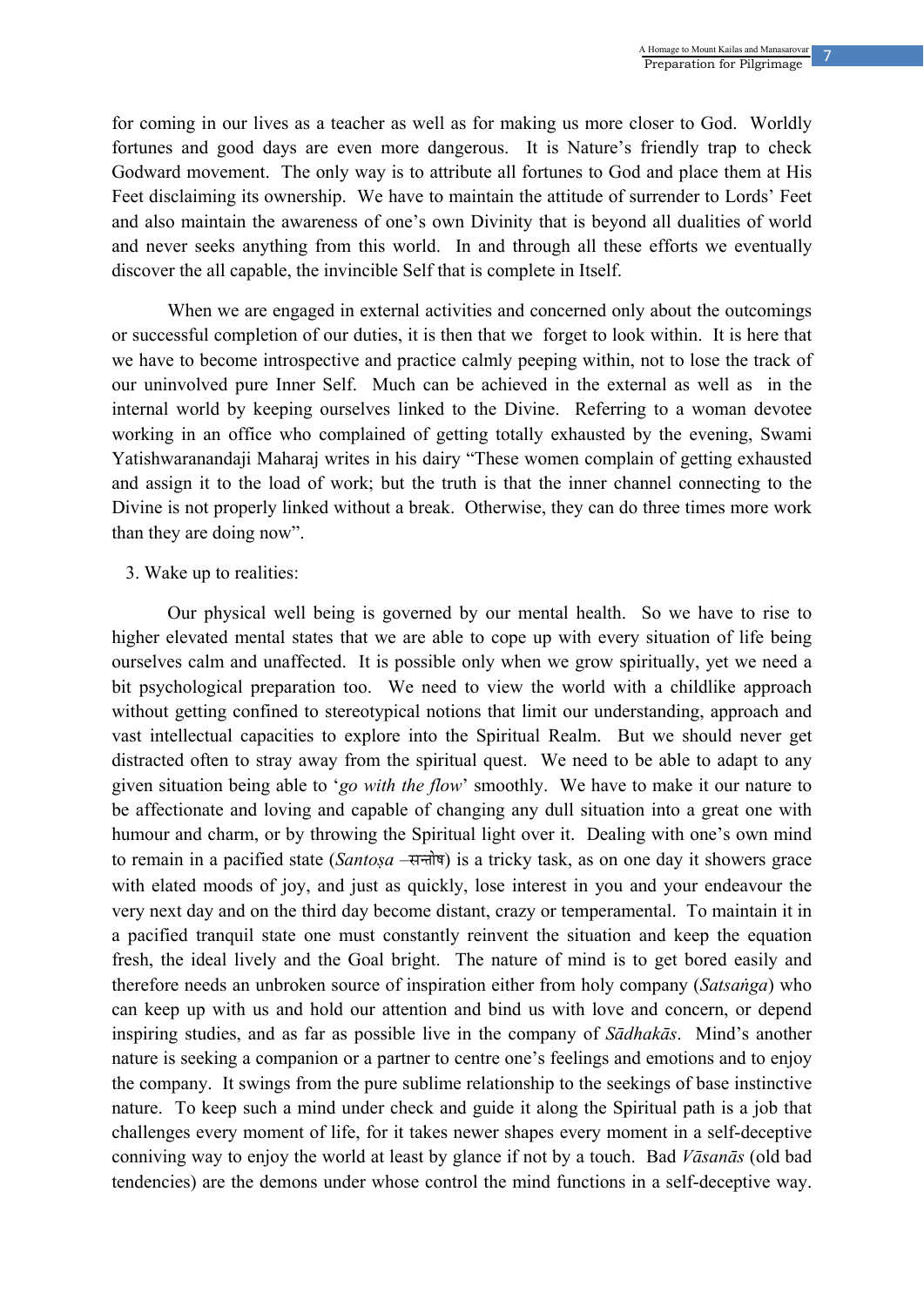for coming in our lives as a teacher as well as for making us more closer to God. Worldly fortunes and good days are even more dangerous. It is Nature's friendly trap to check Godward movement. The only way is to attribute all fortunes to God and place them at His Feet disclaiming its ownership. We have to maintain the attitude of surrender to Lords' Feet and also maintain the awareness of one's own Divinity that is beyond all dualities of world and never seeks anything from this world. In and through all these efforts we eventually discover the all capable, the invincible Self that is complete in Itself.

 When we are engaged in external activities and concerned only about the outcomings or successful completion of our duties, it is then that we forget to look within. It is here that we have to become introspective and practice calmly peeping within, not to lose the track of our uninvolved pure Inner Self. Much can be achieved in the external as well as in the internal world by keeping ourselves linked to the Divine. Referring to a woman devotee working in an office who complained of getting totally exhausted by the evening, Swami Yatishwaranandaji Maharaj writes in his dairy "These women complain of getting exhausted and assign it to the load of work; but the truth is that the inner channel connecting to the Divine is not properly linked without a break. Otherwise, they can do three times more work than they are doing now".

#### 3. Wake up to realities:

 Our physical well being is governed by our mental health. So we have to rise to higher elevated mental states that we are able to cope up with every situation of life being ourselves calm and unaffected. It is possible only when we grow spiritually, yet we need a bit psychological preparation too. We need to view the world with a childlike approach without getting confined to stereotypical notions that limit our understanding, approach and vast intellectual capacities to explore into the Spiritual Realm. But we should never get distracted often to stray away from the spiritual quest. We need to be able to adapt to any given situation being able to '*go with the flow*' smoothly. We have to make it our nature to be affectionate and loving and capable of changing any dull situation into a great one with humour and charm, or by throwing the Spiritual light over it. Dealing with one's own mind to remain in a pacified state (*Santoșa* –सन्तोष) is a tricky task, as on one day it showers grace with elated moods of joy, and just as quickly, lose interest in you and your endeavour the very next day and on the third day become distant, crazy or temperamental. To maintain it in a pacified tranquil state one must constantly reinvent the situation and keep the equation fresh, the ideal lively and the Goal bright. The nature of mind is to get bored easily and therefore needs an unbroken source of inspiration either from holy company (*Satsaṅga*) who can keep up with us and hold our attention and bind us with love and concern, or depend inspiring studies, and as far as possible live in the company of *Sādhakās*. Mind's another nature is seeking a companion or a partner to centre one's feelings and emotions and to enjoy the company. It swings from the pure sublime relationship to the seekings of base instinctive nature. To keep such a mind under check and guide it along the Spiritual path is a job that challenges every moment of life, for it takes newer shapes every moment in a self-deceptive conniving way to enjoy the world at least by glance if not by a touch. Bad *Vāsanās* (old bad tendencies) are the demons under whose control the mind functions in a self-deceptive way.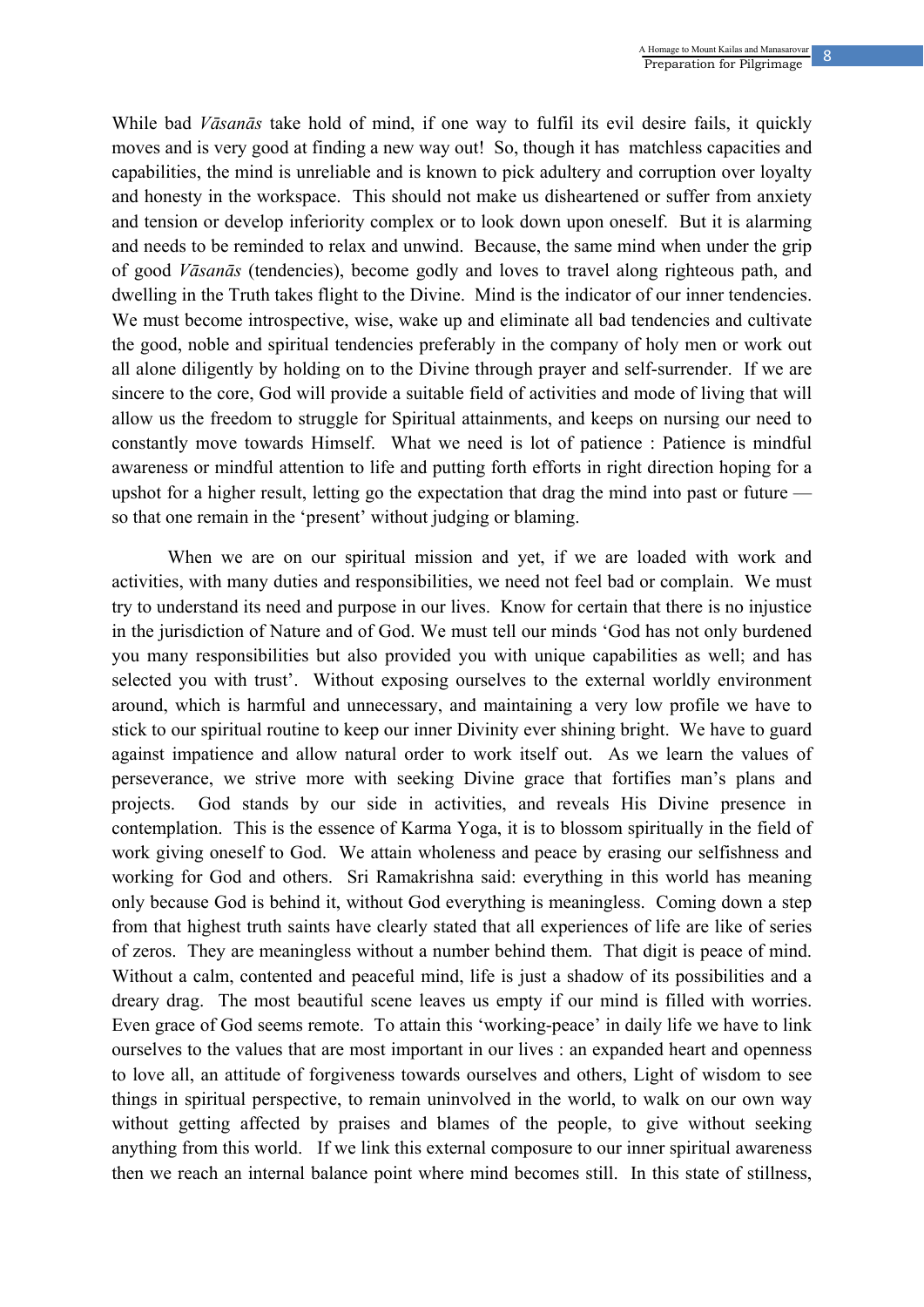While bad *Vāsanās* take hold of mind, if one way to fulfil its evil desire fails, it quickly moves and is very good at finding a new way out! So, though it has matchless capacities and capabilities, the mind is unreliable and is known to pick adultery and corruption over loyalty and honesty in the workspace. This should not make us disheartened or suffer from anxiety and tension or develop inferiority complex or to look down upon oneself. But it is alarming and needs to be reminded to relax and unwind. Because, the same mind when under the grip of good *Vāsanās* (tendencies), become godly and loves to travel along righteous path, and dwelling in the Truth takes flight to the Divine. Mind is the indicator of our inner tendencies. We must become introspective, wise, wake up and eliminate all bad tendencies and cultivate the good, noble and spiritual tendencies preferably in the company of holy men or work out all alone diligently by holding on to the Divine through prayer and self-surrender. If we are sincere to the core, God will provide a suitable field of activities and mode of living that will allow us the freedom to struggle for Spiritual attainments, and keeps on nursing our need to constantly move towards Himself. What we need is lot of patience : Patience is mindful awareness or mindful attention to life and putting forth efforts in right direction hoping for a upshot for a higher result, letting go the expectation that drag the mind into past or future so that one remain in the 'present' without judging or blaming.

 When we are on our spiritual mission and yet, if we are loaded with work and activities, with many duties and responsibilities, we need not feel bad or complain. We must try to understand its need and purpose in our lives. Know for certain that there is no injustice in the jurisdiction of Nature and of God. We must tell our minds 'God has not only burdened you many responsibilities but also provided you with unique capabilities as well; and has selected you with trust'. Without exposing ourselves to the external worldly environment around, which is harmful and unnecessary, and maintaining a very low profile we have to stick to our spiritual routine to keep our inner Divinity ever shining bright. We have to guard against impatience and allow natural order to work itself out. As we learn the values of perseverance, we strive more with seeking Divine grace that fortifies man's plans and projects. God stands by our side in activities, and reveals His Divine presence in contemplation. This is the essence of Karma Yoga, it is to blossom spiritually in the field of work giving oneself to God. We attain wholeness and peace by erasing our selfishness and working for God and others. Sri Ramakrishna said: everything in this world has meaning only because God is behind it, without God everything is meaningless. Coming down a step from that highest truth saints have clearly stated that all experiences of life are like of series of zeros. They are meaningless without a number behind them. That digit is peace of mind. Without a calm, contented and peaceful mind, life is just a shadow of its possibilities and a dreary drag. The most beautiful scene leaves us empty if our mind is filled with worries. Even grace of God seems remote. To attain this 'working-peace' in daily life we have to link ourselves to the values that are most important in our lives : an expanded heart and openness to love all, an attitude of forgiveness towards ourselves and others, Light of wisdom to see things in spiritual perspective, to remain uninvolved in the world, to walk on our own way without getting affected by praises and blames of the people, to give without seeking anything from this world. If we link this external composure to our inner spiritual awareness then we reach an internal balance point where mind becomes still. In this state of stillness,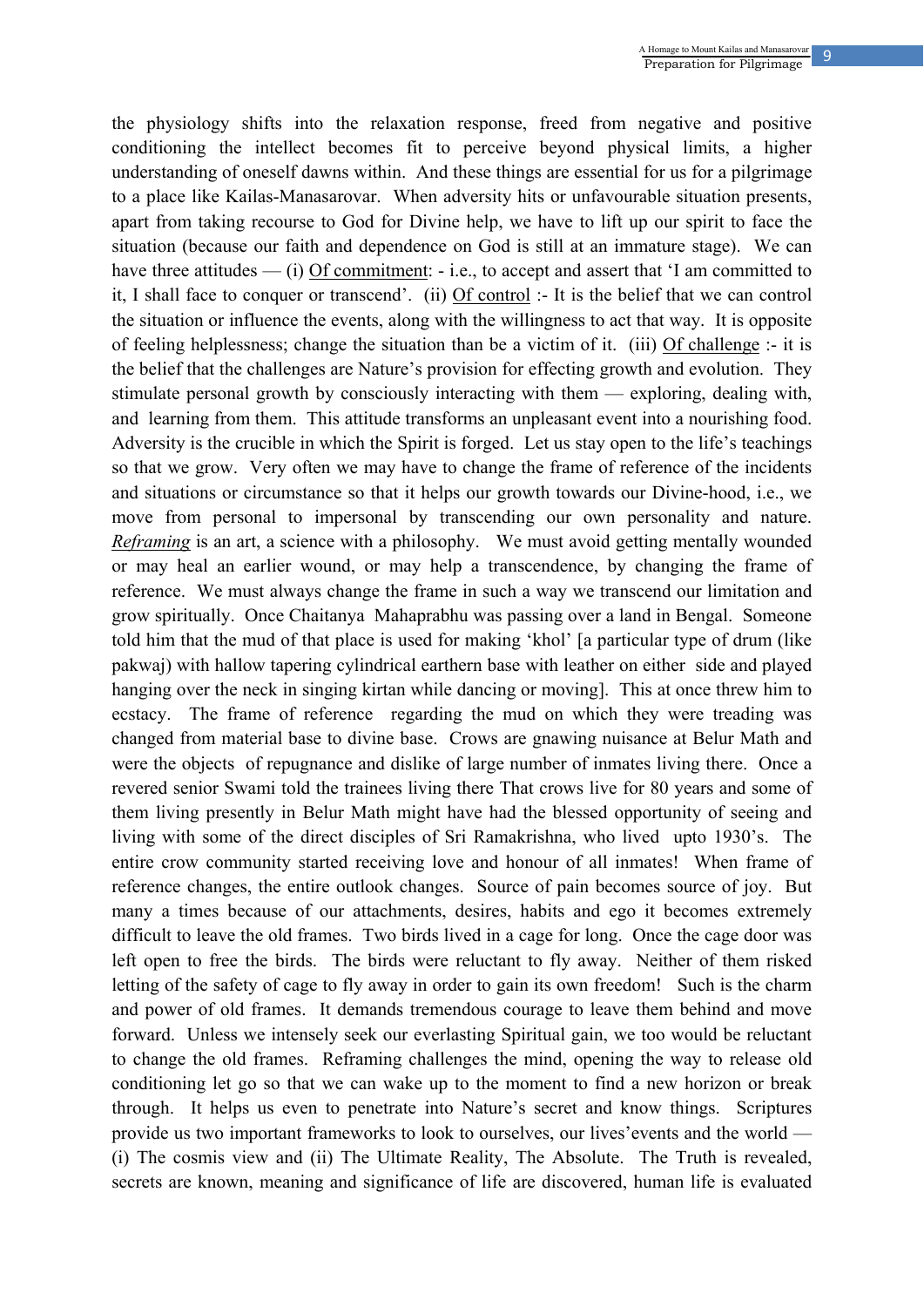the physiology shifts into the relaxation response, freed from negative and positive conditioning the intellect becomes fit to perceive beyond physical limits, a higher understanding of oneself dawns within. And these things are essential for us for a pilgrimage to a place like Kailas-Manasarovar. When adversity hits or unfavourable situation presents, apart from taking recourse to God for Divine help, we have to lift up our spirit to face the situation (because our faith and dependence on God is still at an immature stage). We can have three attitudes — (i) Of commitment: - i.e., to accept and assert that 'I am committed to it, I shall face to conquer or transcend'. (ii) Of control :- It is the belief that we can control the situation or influence the events, along with the willingness to act that way. It is opposite of feeling helplessness; change the situation than be a victim of it. (iii) Of challenge :- it is the belief that the challenges are Nature's provision for effecting growth and evolution. They stimulate personal growth by consciously interacting with them — exploring, dealing with, and learning from them. This attitude transforms an unpleasant event into a nourishing food. Adversity is the crucible in which the Spirit is forged. Let us stay open to the life's teachings so that we grow. Very often we may have to change the frame of reference of the incidents and situations or circumstance so that it helps our growth towards our Divine-hood, i.e., we move from personal to impersonal by transcending our own personality and nature. *Reframing* is an art, a science with a philosophy. We must avoid getting mentally wounded or may heal an earlier wound, or may help a transcendence, by changing the frame of reference. We must always change the frame in such a way we transcend our limitation and grow spiritually. Once Chaitanya Mahaprabhu was passing over a land in Bengal. Someone told him that the mud of that place is used for making 'khol' [a particular type of drum (like pakwaj) with hallow tapering cylindrical earthern base with leather on either side and played hanging over the neck in singing kirtan while dancing or moving]. This at once threw him to ecstacy. The frame of reference regarding the mud on which they were treading was changed from material base to divine base. Crows are gnawing nuisance at Belur Math and were the objects of repugnance and dislike of large number of inmates living there. Once a revered senior Swami told the trainees living there That crows live for 80 years and some of them living presently in Belur Math might have had the blessed opportunity of seeing and living with some of the direct disciples of Sri Ramakrishna, who lived upto 1930's. The entire crow community started receiving love and honour of all inmates! When frame of reference changes, the entire outlook changes. Source of pain becomes source of joy. But many a times because of our attachments, desires, habits and ego it becomes extremely difficult to leave the old frames. Two birds lived in a cage for long. Once the cage door was left open to free the birds. The birds were reluctant to fly away. Neither of them risked letting of the safety of cage to fly away in order to gain its own freedom! Such is the charm and power of old frames. It demands tremendous courage to leave them behind and move forward. Unless we intensely seek our everlasting Spiritual gain, we too would be reluctant to change the old frames. Reframing challenges the mind, opening the way to release old conditioning let go so that we can wake up to the moment to find a new horizon or break through. It helps us even to penetrate into Nature's secret and know things. Scriptures provide us two important frameworks to look to ourselves, our lives'events and the world —

(i) The cosmis view and (ii) The Ultimate Reality, The Absolute. The Truth is revealed, secrets are known, meaning and significance of life are discovered, human life is evaluated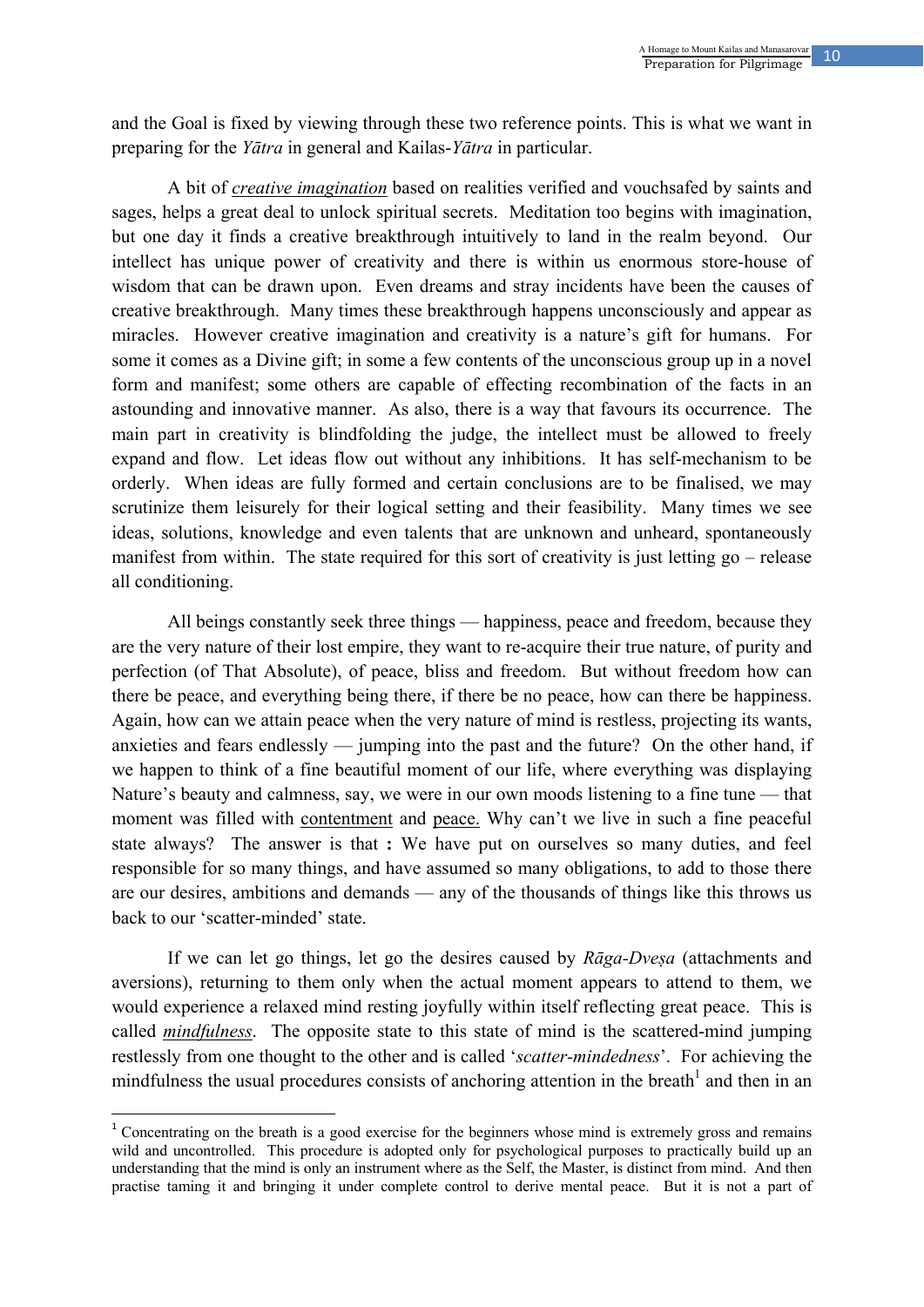and the Goal is fixed by viewing through these two reference points. This is what we want in preparing for the *Yātra* in general and Kailas-*Yātra* in particular.

A bit of *creative imagination* based on realities verified and vouchsafed by saints and sages, helps a great deal to unlock spiritual secrets. Meditation too begins with imagination, but one day it finds a creative breakthrough intuitively to land in the realm beyond. Our intellect has unique power of creativity and there is within us enormous store-house of wisdom that can be drawn upon. Even dreams and stray incidents have been the causes of creative breakthrough. Many times these breakthrough happens unconsciously and appear as miracles. However creative imagination and creativity is a nature's gift for humans. For some it comes as a Divine gift; in some a few contents of the unconscious group up in a novel form and manifest; some others are capable of effecting recombination of the facts in an astounding and innovative manner. As also, there is a way that favours its occurrence. The main part in creativity is blindfolding the judge, the intellect must be allowed to freely expand and flow. Let ideas flow out without any inhibitions. It has self-mechanism to be orderly. When ideas are fully formed and certain conclusions are to be finalised, we may scrutinize them leisurely for their logical setting and their feasibility. Many times we see ideas, solutions, knowledge and even talents that are unknown and unheard, spontaneously manifest from within. The state required for this sort of creativity is just letting go – release all conditioning.

 All beings constantly seek three things — happiness, peace and freedom, because they are the very nature of their lost empire, they want to re-acquire their true nature, of purity and perfection (of That Absolute), of peace, bliss and freedom. But without freedom how can there be peace, and everything being there, if there be no peace, how can there be happiness. Again, how can we attain peace when the very nature of mind is restless, projecting its wants, anxieties and fears endlessly — jumping into the past and the future? On the other hand, if we happen to think of a fine beautiful moment of our life, where everything was displaying Nature's beauty and calmness, say, we were in our own moods listening to a fine tune — that moment was filled with contentment and peace. Why can't we live in such a fine peaceful state always? The answer is that **:** We have put on ourselves so many duties, and feel responsible for so many things, and have assumed so many obligations, to add to those there are our desires, ambitions and demands — any of the thousands of things like this throws us back to our 'scatter-minded' state.

 If we can let go things, let go the desires caused by *Rāga-Dveṣa* (attachments and aversions), returning to them only when the actual moment appears to attend to them, we would experience a relaxed mind resting joyfully within itself reflecting great peace. This is called *mindfulness*. The opposite state to this state of mind is the scattered-mind jumping restlessly from one thought to the other and is called '*scatter-mindedness*'. For achieving the mindfulness the usual procedures consists of anchoring attention in the breath $<sup>1</sup>$  and then in an</sup>

<sup>&</sup>lt;sup>1</sup> Concentrating on the breath is a good exercise for the beginners whose mind is extremely gross and remains wild and uncontrolled. This procedure is adopted only for psychological purposes to practically build up an understanding that the mind is only an instrument where as the Self, the Master, is distinct from mind. And then practise taming it and bringing it under complete control to derive mental peace. But it is not a part of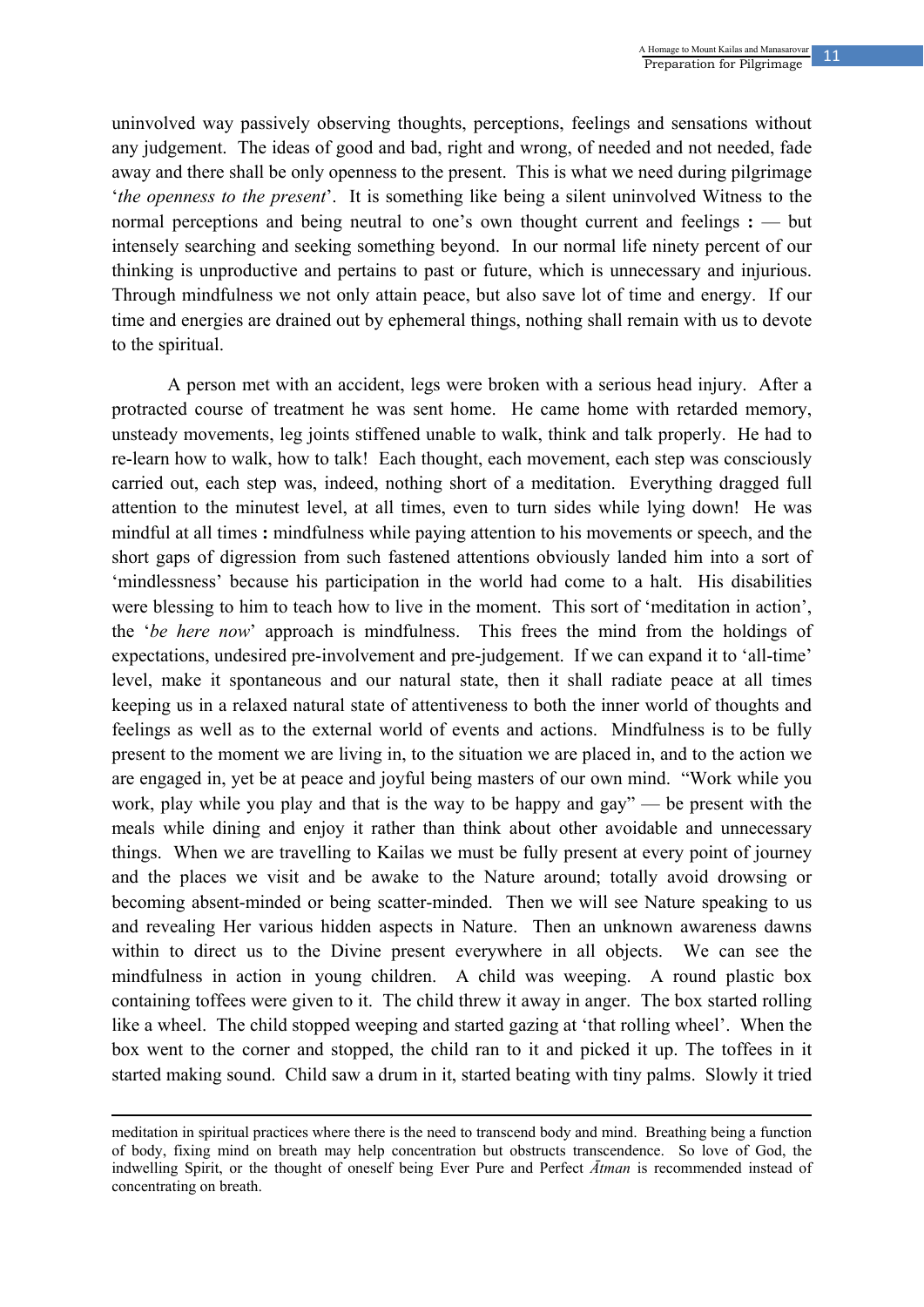uninvolved way passively observing thoughts, perceptions, feelings and sensations without any judgement. The ideas of good and bad, right and wrong, of needed and not needed, fade away and there shall be only openness to the present. This is what we need during pilgrimage '*the openness to the present*'. It is something like being a silent uninvolved Witness to the normal perceptions and being neutral to one's own thought current and feelings **:** — but intensely searching and seeking something beyond. In our normal life ninety percent of our thinking is unproductive and pertains to past or future, which is unnecessary and injurious. Through mindfulness we not only attain peace, but also save lot of time and energy. If our time and energies are drained out by ephemeral things, nothing shall remain with us to devote to the spiritual.

 A person met with an accident, legs were broken with a serious head injury. After a protracted course of treatment he was sent home. He came home with retarded memory, unsteady movements, leg joints stiffened unable to walk, think and talk properly. He had to re-learn how to walk, how to talk! Each thought, each movement, each step was consciously carried out, each step was, indeed, nothing short of a meditation. Everything dragged full attention to the minutest level, at all times, even to turn sides while lying down! He was mindful at all times **:** mindfulness while paying attention to his movements or speech, and the short gaps of digression from such fastened attentions obviously landed him into a sort of 'mindlessness' because his participation in the world had come to a halt. His disabilities were blessing to him to teach how to live in the moment. This sort of 'meditation in action', the '*be here now*' approach is mindfulness. This frees the mind from the holdings of expectations, undesired pre-involvement and pre-judgement. If we can expand it to 'all-time' level, make it spontaneous and our natural state, then it shall radiate peace at all times keeping us in a relaxed natural state of attentiveness to both the inner world of thoughts and feelings as well as to the external world of events and actions. Mindfulness is to be fully present to the moment we are living in, to the situation we are placed in, and to the action we are engaged in, yet be at peace and joyful being masters of our own mind. "Work while you work, play while you play and that is the way to be happy and gay" — be present with the meals while dining and enjoy it rather than think about other avoidable and unnecessary things. When we are travelling to Kailas we must be fully present at every point of journey and the places we visit and be awake to the Nature around; totally avoid drowsing or becoming absent-minded or being scatter-minded. Then we will see Nature speaking to us and revealing Her various hidden aspects in Nature. Then an unknown awareness dawns within to direct us to the Divine present everywhere in all objects. We can see the mindfulness in action in young children. A child was weeping. A round plastic box containing toffees were given to it. The child threw it away in anger. The box started rolling like a wheel. The child stopped weeping and started gazing at 'that rolling wheel'. When the box went to the corner and stopped, the child ran to it and picked it up. The toffees in it started making sound. Child saw a drum in it, started beating with tiny palms. Slowly it tried

<u> 1989 - Johann Barn, amerikansk politiker (d. 1989)</u>

meditation in spiritual practices where there is the need to transcend body and mind. Breathing being a function of body, fixing mind on breath may help concentration but obstructs transcendence. So love of God, the indwelling Spirit, or the thought of oneself being Ever Pure and Perfect *Ātman* is recommended instead of concentrating on breath.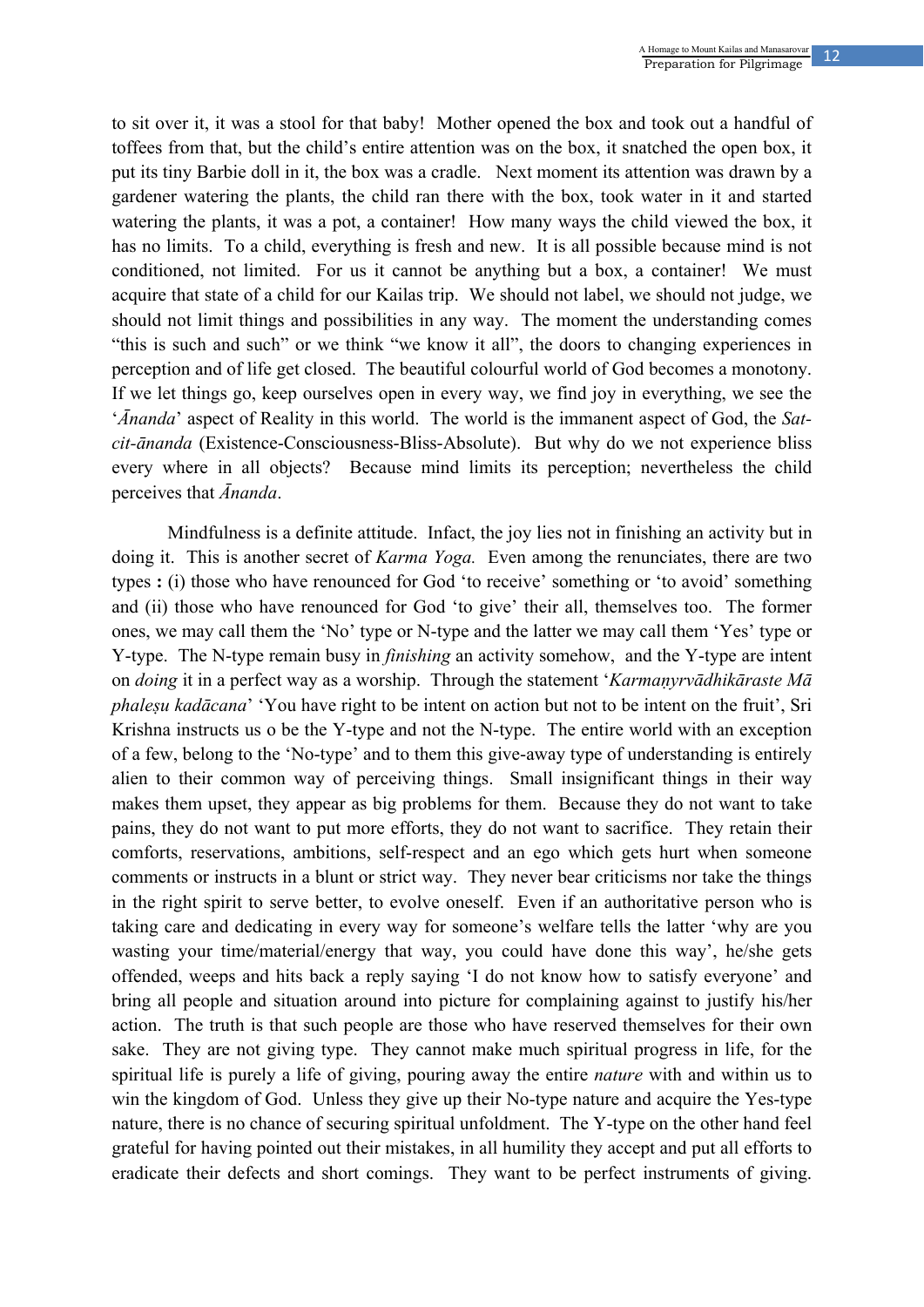to sit over it, it was a stool for that baby! Mother opened the box and took out a handful of toffees from that, but the child's entire attention was on the box, it snatched the open box, it put its tiny Barbie doll in it, the box was a cradle. Next moment its attention was drawn by a gardener watering the plants, the child ran there with the box, took water in it and started watering the plants, it was a pot, a container! How many ways the child viewed the box, it has no limits. To a child, everything is fresh and new. It is all possible because mind is not conditioned, not limited. For us it cannot be anything but a box, a container! We must acquire that state of a child for our Kailas trip. We should not label, we should not judge, we should not limit things and possibilities in any way. The moment the understanding comes "this is such and such" or we think "we know it all", the doors to changing experiences in perception and of life get closed. The beautiful colourful world of God becomes a monotony. If we let things go, keep ourselves open in every way, we find joy in everything, we see the '*Ānanda*' aspect of Reality in this world. The world is the immanent aspect of God, the *Satcit-ānanda* (Existence-Consciousness-Bliss-Absolute). But why do we not experience bliss every where in all objects? Because mind limits its perception; nevertheless the child perceives that *Ānanda*.

 Mindfulness is a definite attitude. Infact, the joy lies not in finishing an activity but in doing it. This is another secret of *Karma Yoga.* Even among the renunciates, there are two types **:** (i) those who have renounced for God 'to receive' something or 'to avoid' something and (ii) those who have renounced for God 'to give' their all, themselves too. The former ones, we may call them the 'No' type or N-type and the latter we may call them 'Yes' type or Y-type. The N-type remain busy in *finishing* an activity somehow, and the Y-type are intent on *doing* it in a perfect way as a worship. Through the statement '*Karmaṇyrvādhikāraste Mā phaleṣu kadācana*' 'You have right to be intent on action but not to be intent on the fruit', Sri Krishna instructs us o be the Y-type and not the N-type. The entire world with an exception of a few, belong to the 'No-type' and to them this give-away type of understanding is entirely alien to their common way of perceiving things. Small insignificant things in their way makes them upset, they appear as big problems for them. Because they do not want to take pains, they do not want to put more efforts, they do not want to sacrifice. They retain their comforts, reservations, ambitions, self-respect and an ego which gets hurt when someone comments or instructs in a blunt or strict way. They never bear criticisms nor take the things in the right spirit to serve better, to evolve oneself. Even if an authoritative person who is taking care and dedicating in every way for someone's welfare tells the latter 'why are you wasting your time/material/energy that way, you could have done this way', he/she gets offended, weeps and hits back a reply saying 'I do not know how to satisfy everyone' and bring all people and situation around into picture for complaining against to justify his/her action. The truth is that such people are those who have reserved themselves for their own sake. They are not giving type. They cannot make much spiritual progress in life, for the spiritual life is purely a life of giving, pouring away the entire *nature* with and within us to win the kingdom of God. Unless they give up their No-type nature and acquire the Yes-type nature, there is no chance of securing spiritual unfoldment. The Y-type on the other hand feel grateful for having pointed out their mistakes, in all humility they accept and put all efforts to eradicate their defects and short comings. They want to be perfect instruments of giving.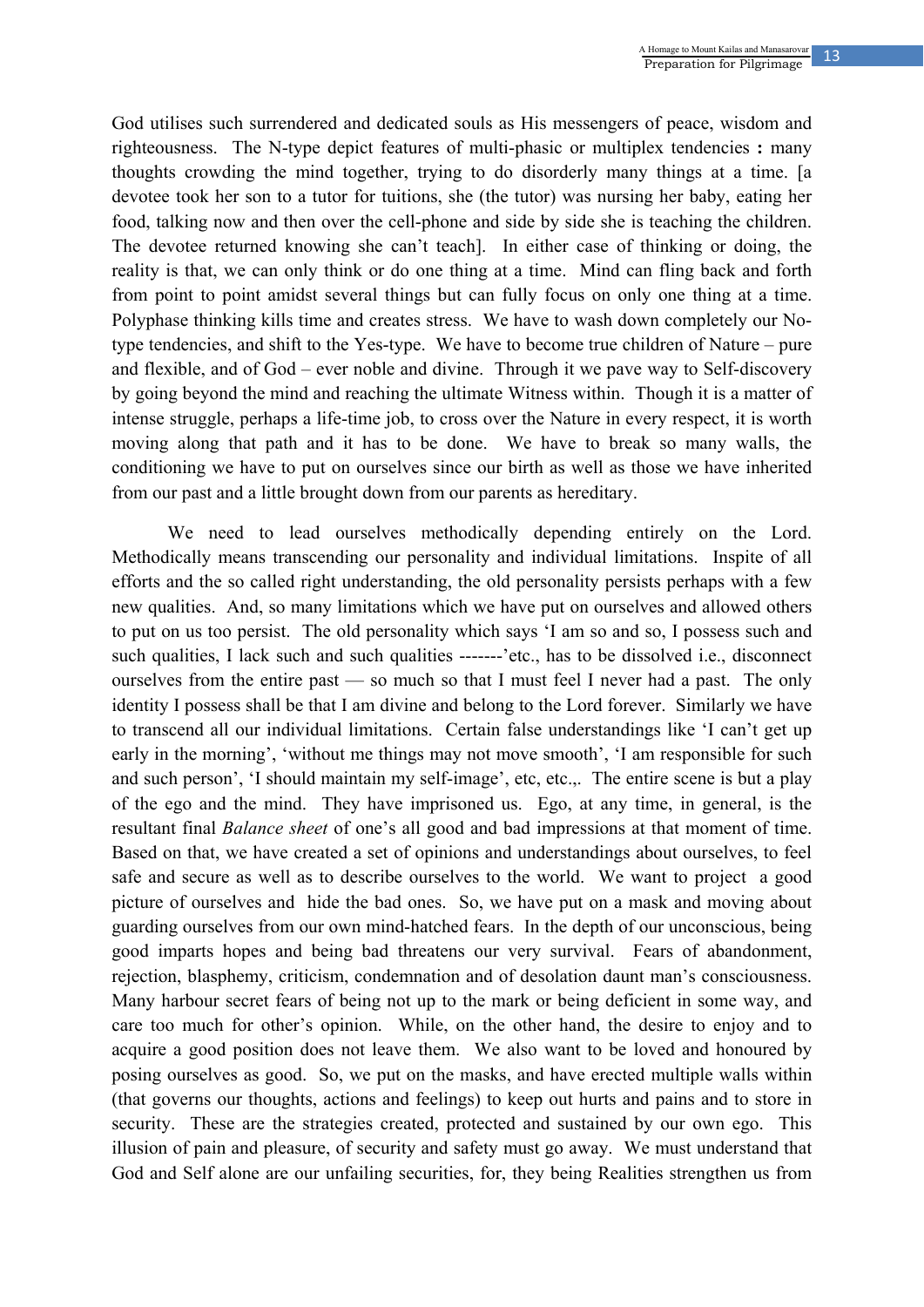God utilises such surrendered and dedicated souls as His messengers of peace, wisdom and righteousness. The N-type depict features of multi-phasic or multiplex tendencies **:** many thoughts crowding the mind together, trying to do disorderly many things at a time. [a devotee took her son to a tutor for tuitions, she (the tutor) was nursing her baby, eating her food, talking now and then over the cell-phone and side by side she is teaching the children. The devotee returned knowing she can't teach]. In either case of thinking or doing, the reality is that, we can only think or do one thing at a time. Mind can fling back and forth from point to point amidst several things but can fully focus on only one thing at a time. Polyphase thinking kills time and creates stress. We have to wash down completely our Notype tendencies, and shift to the Yes-type. We have to become true children of Nature – pure and flexible, and of God – ever noble and divine. Through it we pave way to Self-discovery by going beyond the mind and reaching the ultimate Witness within. Though it is a matter of intense struggle, perhaps a life-time job, to cross over the Nature in every respect, it is worth moving along that path and it has to be done. We have to break so many walls, the conditioning we have to put on ourselves since our birth as well as those we have inherited from our past and a little brought down from our parents as hereditary.

 We need to lead ourselves methodically depending entirely on the Lord. Methodically means transcending our personality and individual limitations. Inspite of all efforts and the so called right understanding, the old personality persists perhaps with a few new qualities. And, so many limitations which we have put on ourselves and allowed others to put on us too persist. The old personality which says 'I am so and so, I possess such and such qualities, I lack such and such qualities -------'etc., has to be dissolved i.e., disconnect ourselves from the entire past — so much so that I must feel I never had a past. The only identity I possess shall be that I am divine and belong to the Lord forever. Similarly we have to transcend all our individual limitations. Certain false understandings like 'I can't get up early in the morning', 'without me things may not move smooth', 'I am responsible for such and such person', 'I should maintain my self-image', etc, etc.,. The entire scene is but a play of the ego and the mind. They have imprisoned us. Ego, at any time, in general, is the resultant final *Balance sheet* of one's all good and bad impressions at that moment of time. Based on that, we have created a set of opinions and understandings about ourselves, to feel safe and secure as well as to describe ourselves to the world. We want to project a good picture of ourselves and hide the bad ones. So, we have put on a mask and moving about guarding ourselves from our own mind-hatched fears. In the depth of our unconscious, being good imparts hopes and being bad threatens our very survival. Fears of abandonment, rejection, blasphemy, criticism, condemnation and of desolation daunt man's consciousness. Many harbour secret fears of being not up to the mark or being deficient in some way, and care too much for other's opinion. While, on the other hand, the desire to enjoy and to acquire a good position does not leave them. We also want to be loved and honoured by posing ourselves as good. So, we put on the masks, and have erected multiple walls within (that governs our thoughts, actions and feelings) to keep out hurts and pains and to store in security. These are the strategies created, protected and sustained by our own ego. This illusion of pain and pleasure, of security and safety must go away. We must understand that God and Self alone are our unfailing securities, for, they being Realities strengthen us from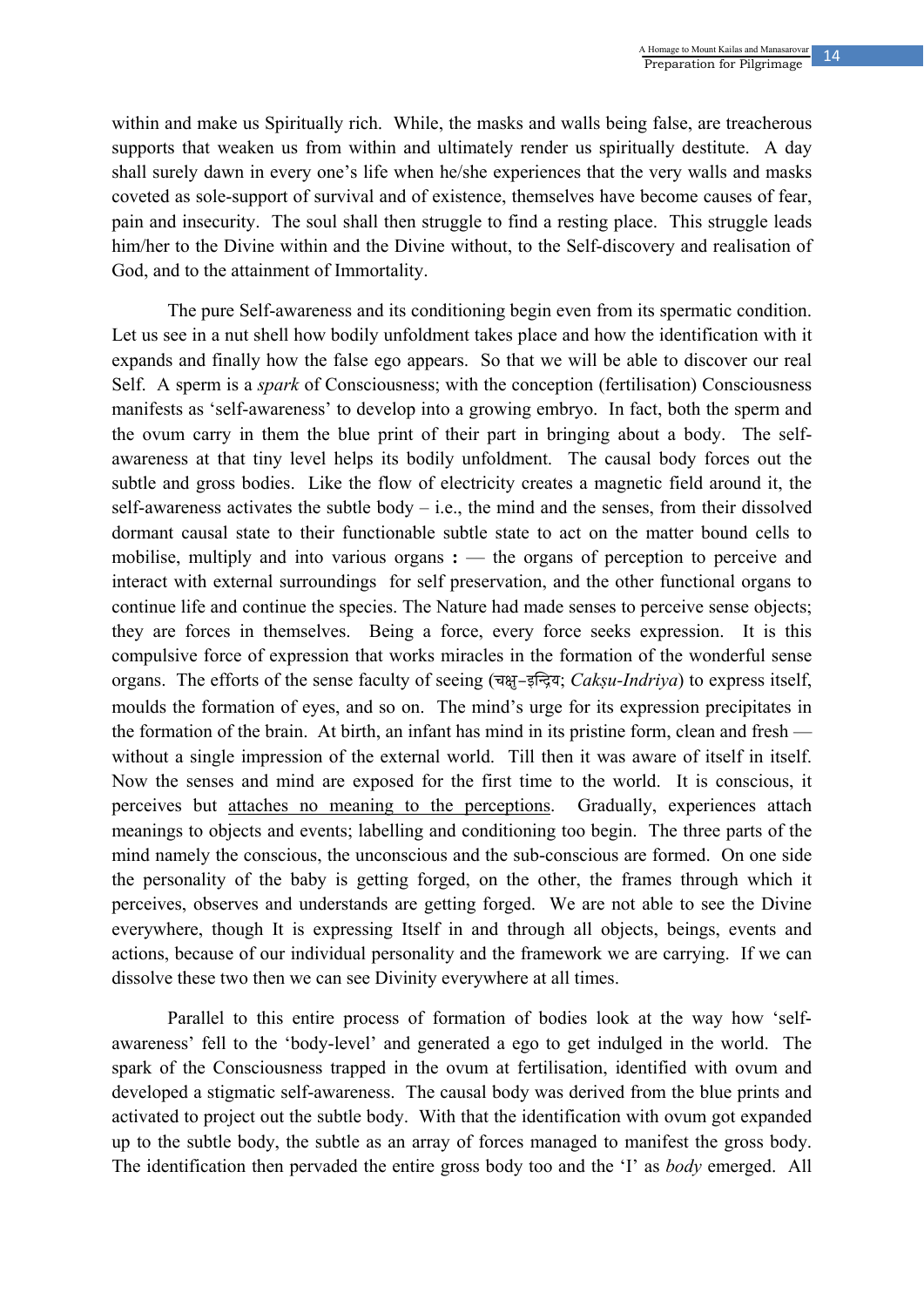within and make us Spiritually rich. While, the masks and walls being false, are treacherous supports that weaken us from within and ultimately render us spiritually destitute. A day shall surely dawn in every one's life when he/she experiences that the very walls and masks coveted as sole-support of survival and of existence, themselves have become causes of fear, pain and insecurity. The soul shall then struggle to find a resting place. This struggle leads him/her to the Divine within and the Divine without, to the Self-discovery and realisation of God, and to the attainment of Immortality.

 The pure Self-awareness and its conditioning begin even from its spermatic condition. Let us see in a nut shell how bodily unfoldment takes place and how the identification with it expands and finally how the false ego appears. So that we will be able to discover our real Self. A sperm is a *spark* of Consciousness; with the conception (fertilisation) Consciousness manifests as 'self-awareness' to develop into a growing embryo. In fact, both the sperm and the ovum carry in them the blue print of their part in bringing about a body. The selfawareness at that tiny level helps its bodily unfoldment. The causal body forces out the subtle and gross bodies. Like the flow of electricity creates a magnetic field around it, the self-awareness activates the subtle body  $-$  i.e., the mind and the senses, from their dissolved dormant causal state to their functionable subtle state to act on the matter bound cells to mobilise, multiply and into various organs **:** — the organs of perception to perceive and interact with external surroundings for self preservation, and the other functional organs to continue life and continue the species. The Nature had made senses to perceive sense objects; they are forces in themselves. Being a force, every force seeks expression. It is this compulsive force of expression that works miracles in the formation of the wonderful sense organs. The efforts of the sense faculty of seeing (चक्ष-इन्द्रिय; *Cakṣu-Indriya*) to express itself, moulds the formation of eyes, and so on. The mind's urge for its expression precipitates in the formation of the brain. At birth, an infant has mind in its pristine form, clean and fresh without a single impression of the external world. Till then it was aware of itself in itself. Now the senses and mind are exposed for the first time to the world. It is conscious, it perceives but attaches no meaning to the perceptions. Gradually, experiences attach meanings to objects and events; labelling and conditioning too begin. The three parts of the mind namely the conscious, the unconscious and the sub-conscious are formed. On one side the personality of the baby is getting forged, on the other, the frames through which it perceives, observes and understands are getting forged. We are not able to see the Divine everywhere, though It is expressing Itself in and through all objects, beings, events and actions, because of our individual personality and the framework we are carrying. If we can dissolve these two then we can see Divinity everywhere at all times.

 Parallel to this entire process of formation of bodies look at the way how 'selfawareness' fell to the 'body-level' and generated a ego to get indulged in the world. The spark of the Consciousness trapped in the ovum at fertilisation, identified with ovum and developed a stigmatic self-awareness. The causal body was derived from the blue prints and activated to project out the subtle body. With that the identification with ovum got expanded up to the subtle body, the subtle as an array of forces managed to manifest the gross body. The identification then pervaded the entire gross body too and the 'I' as *body* emerged. All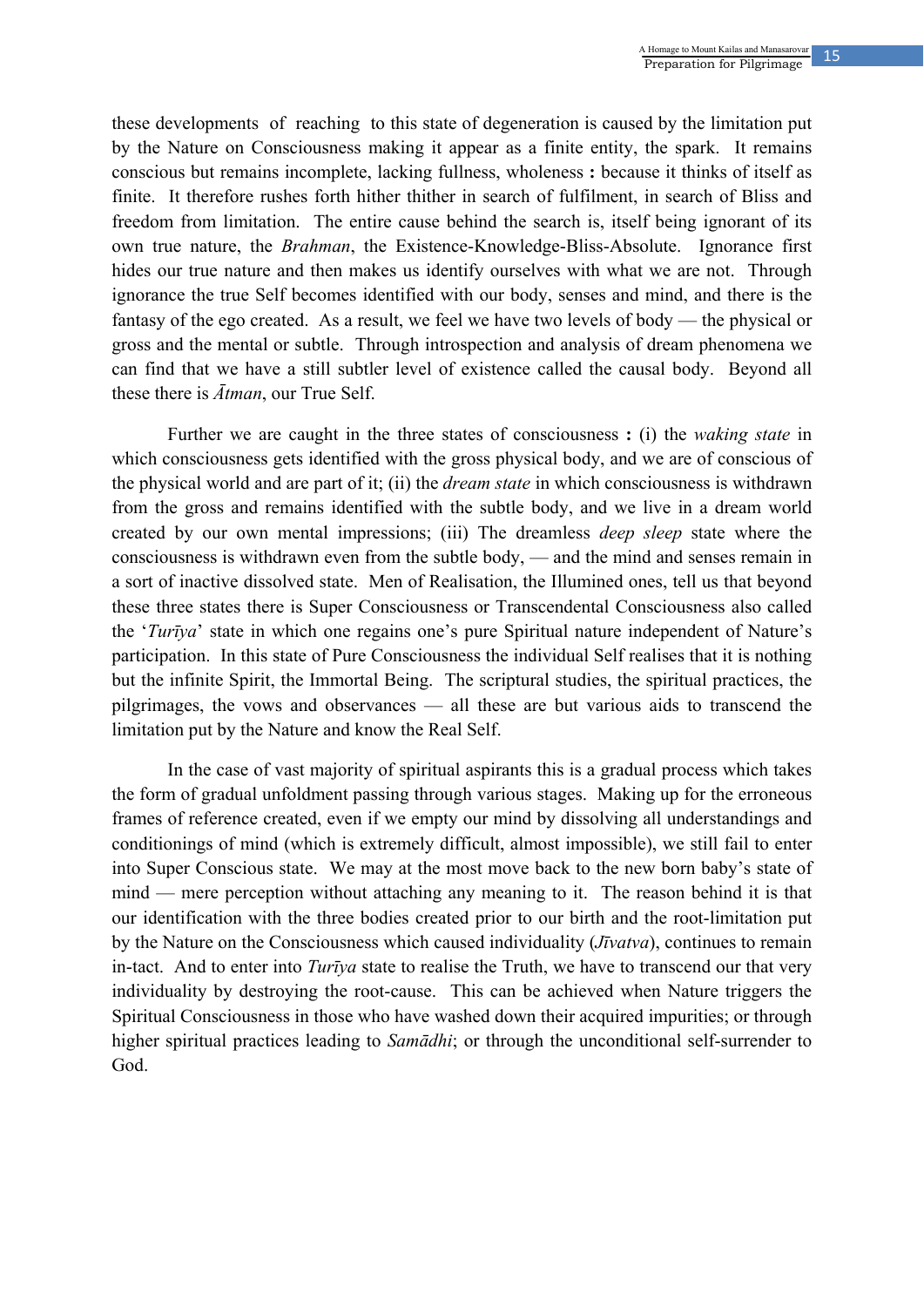these developments of reaching to this state of degeneration is caused by the limitation put by the Nature on Consciousness making it appear as a finite entity, the spark. It remains conscious but remains incomplete, lacking fullness, wholeness **:** because it thinks of itself as finite. It therefore rushes forth hither thither in search of fulfilment, in search of Bliss and freedom from limitation. The entire cause behind the search is, itself being ignorant of its own true nature, the *Brahman*, the Existence-Knowledge-Bliss-Absolute. Ignorance first hides our true nature and then makes us identify ourselves with what we are not. Through ignorance the true Self becomes identified with our body, senses and mind, and there is the fantasy of the ego created. As a result, we feel we have two levels of body — the physical or gross and the mental or subtle. Through introspection and analysis of dream phenomena we can find that we have a still subtler level of existence called the causal body. Beyond all these there is *Ātman*, our True Self.

 Further we are caught in the three states of consciousness **:** (i) the *waking state* in which consciousness gets identified with the gross physical body, and we are of conscious of the physical world and are part of it; (ii) the *dream state* in which consciousness is withdrawn from the gross and remains identified with the subtle body, and we live in a dream world created by our own mental impressions; (iii) The dreamless *deep sleep* state where the consciousness is withdrawn even from the subtle body, — and the mind and senses remain in a sort of inactive dissolved state. Men of Realisation, the Illumined ones, tell us that beyond these three states there is Super Consciousness or Transcendental Consciousness also called the '*Turīya*' state in which one regains one's pure Spiritual nature independent of Nature's participation. In this state of Pure Consciousness the individual Self realises that it is nothing but the infinite Spirit, the Immortal Being. The scriptural studies, the spiritual practices, the pilgrimages, the vows and observances — all these are but various aids to transcend the limitation put by the Nature and know the Real Self.

 In the case of vast majority of spiritual aspirants this is a gradual process which takes the form of gradual unfoldment passing through various stages. Making up for the erroneous frames of reference created, even if we empty our mind by dissolving all understandings and conditionings of mind (which is extremely difficult, almost impossible), we still fail to enter into Super Conscious state. We may at the most move back to the new born baby's state of mind — mere perception without attaching any meaning to it. The reason behind it is that our identification with the three bodies created prior to our birth and the root-limitation put by the Nature on the Consciousness which caused individuality (*Jīvatva*), continues to remain in-tact. And to enter into *Turīya* state to realise the Truth, we have to transcend our that very individuality by destroying the root-cause. This can be achieved when Nature triggers the Spiritual Consciousness in those who have washed down their acquired impurities; or through higher spiritual practices leading to *Samādhi*; or through the unconditional self-surrender to God.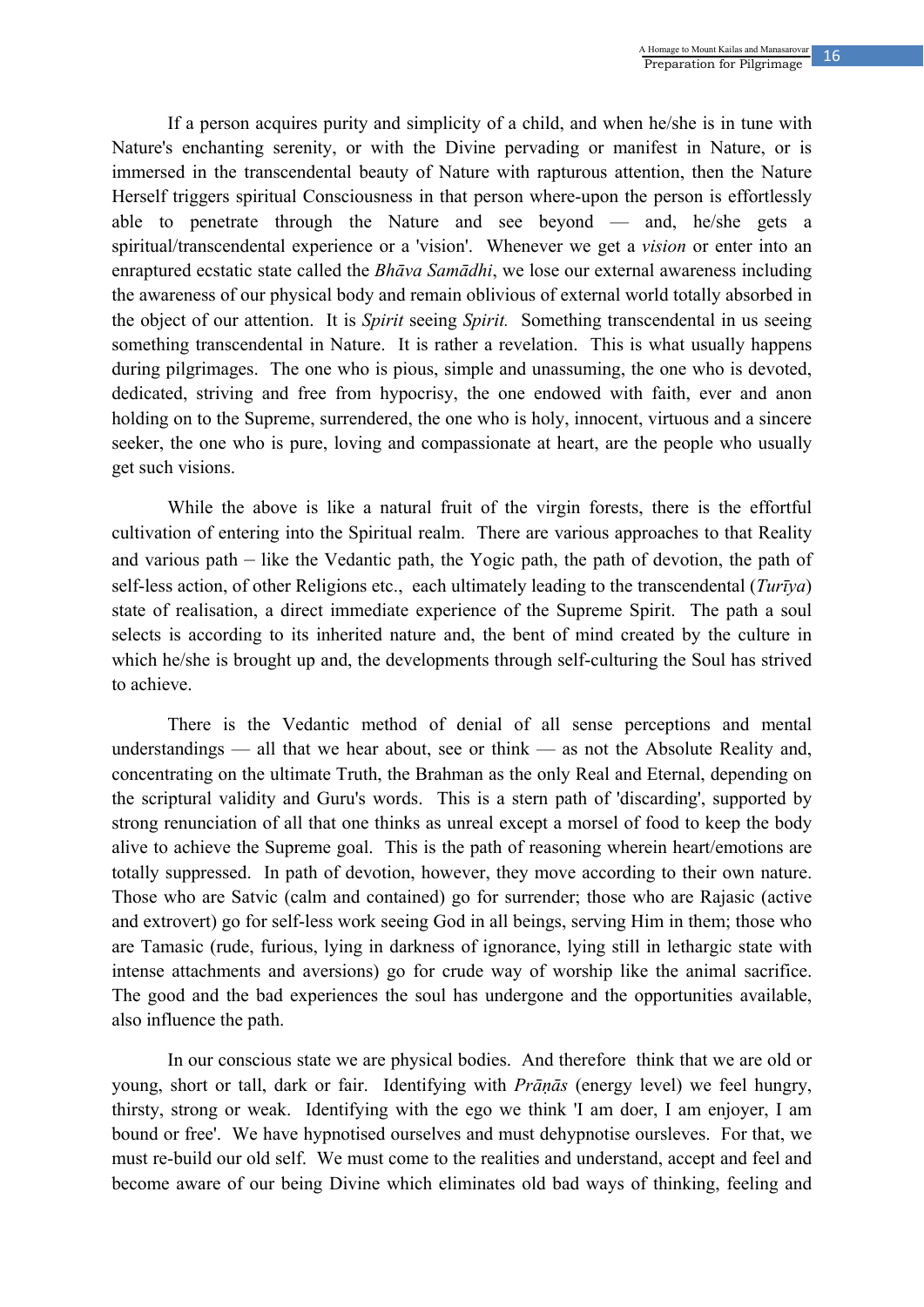If a person acquires purity and simplicity of a child, and when he/she is in tune with Nature's enchanting serenity, or with the Divine pervading or manifest in Nature, or is immersed in the transcendental beauty of Nature with rapturous attention, then the Nature Herself triggers spiritual Consciousness in that person where-upon the person is effortlessly able to penetrate through the Nature and see beyond — and, he/she gets a spiritual/transcendental experience or a 'vision'. Whenever we get a *vision* or enter into an enraptured ecstatic state called the *Bhāva Samādhi*, we lose our external awareness including the awareness of our physical body and remain oblivious of external world totally absorbed in the object of our attention. It is *Spirit* seeing *Spirit.* Something transcendental in us seeing something transcendental in Nature. It is rather a revelation. This is what usually happens during pilgrimages. The one who is pious, simple and unassuming, the one who is devoted, dedicated, striving and free from hypocrisy, the one endowed with faith, ever and anon holding on to the Supreme, surrendered, the one who is holy, innocent, virtuous and a sincere seeker, the one who is pure, loving and compassionate at heart, are the people who usually get such visions.

 While the above is like a natural fruit of the virgin forests, there is the effortful cultivation of entering into the Spiritual realm. There are various approaches to that Reality and various path – like the Vedantic path, the Yogic path, the path of devotion, the path of self-less action, of other Religions etc., each ultimately leading to the transcendental (*Turīya*) state of realisation, a direct immediate experience of the Supreme Spirit. The path a soul selects is according to its inherited nature and, the bent of mind created by the culture in which he/she is brought up and, the developments through self-culturing the Soul has strived to achieve.

 There is the Vedantic method of denial of all sense perceptions and mental understandings — all that we hear about, see or think — as not the Absolute Reality and, concentrating on the ultimate Truth, the Brahman as the only Real and Eternal, depending on the scriptural validity and Guru's words. This is a stern path of 'discarding', supported by strong renunciation of all that one thinks as unreal except a morsel of food to keep the body alive to achieve the Supreme goal. This is the path of reasoning wherein heart/emotions are totally suppressed. In path of devotion, however, they move according to their own nature. Those who are Satvic (calm and contained) go for surrender; those who are Rajasic (active and extrovert) go for self-less work seeing God in all beings, serving Him in them; those who are Tamasic (rude, furious, lying in darkness of ignorance, lying still in lethargic state with intense attachments and aversions) go for crude way of worship like the animal sacrifice. The good and the bad experiences the soul has undergone and the opportunities available, also influence the path.

In our conscious state we are physical bodies. And therefore think that we are old or young, short or tall, dark or fair. Identifying with *Prāṇās* (energy level) we feel hungry, thirsty, strong or weak. Identifying with the ego we think 'I am doer, I am enjoyer, I am bound or free'. We have hypnotised ourselves and must dehypnotise oursleves. For that, we must re-build our old self. We must come to the realities and understand, accept and feel and become aware of our being Divine which eliminates old bad ways of thinking, feeling and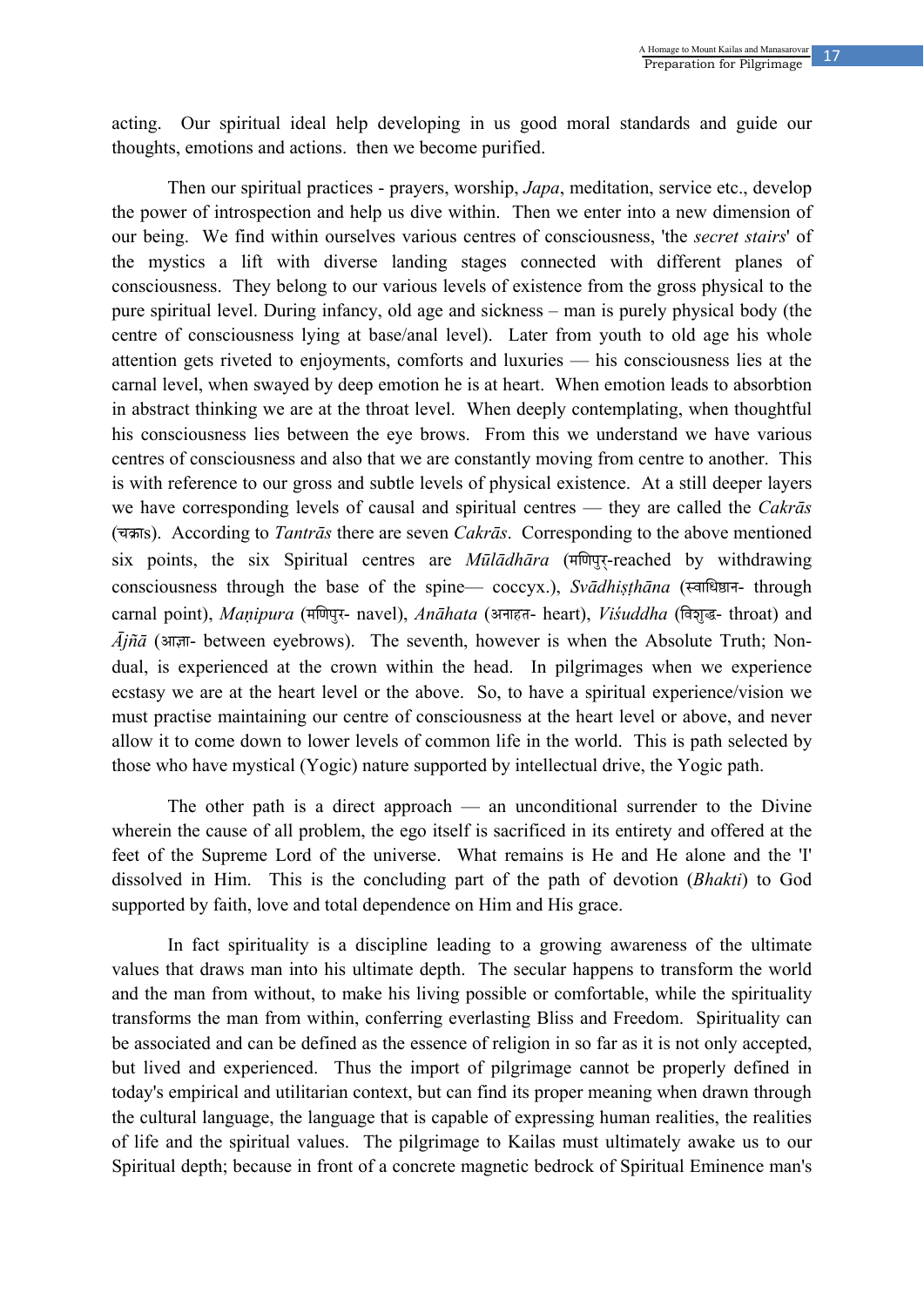acting. Our spiritual ideal help developing in us good moral standards and guide our thoughts, emotions and actions. then we become purified.

 Then our spiritual practices - prayers, worship, *Japa*, meditation, service etc., develop the power of introspection and help us dive within. Then we enter into a new dimension of our being. We find within ourselves various centres of consciousness, 'the *secret stairs*' of the mystics a lift with diverse landing stages connected with different planes of consciousness. They belong to our various levels of existence from the gross physical to the pure spiritual level. During infancy, old age and sickness – man is purely physical body (the centre of consciousness lying at base/anal level). Later from youth to old age his whole attention gets riveted to enjoyments, comforts and luxuries — his consciousness lies at the carnal level, when swayed by deep emotion he is at heart. When emotion leads to absorbtion in abstract thinking we are at the throat level. When deeply contemplating, when thoughtful his consciousness lies between the eye brows. From this we understand we have various centres of consciousness and also that we are constantly moving from centre to another. This is with reference to our gross and subtle levels of physical existence. At a still deeper layers we have corresponding levels of causal and spiritual centres — they are called the *Cakrās* (चक्राs). According to *Tantrās* there are seven *Cakrās*. Corresponding to the above mentioned six points, the six Spiritual centres are *Mūlādhāra* ( $\overline{m}$ ) ( $\overline{m}$ ) ( $\overline{m}$ ) ( $\overline{m}$ ) ( $\overline{m}$ ) ( $\overline{m}$ ) ( $\overline{m}$ ) ( $\overline{m}$ ) ( $\overline{m}$ ) ( $\overline{m}$ ) ( $\overline{m}$ ) ( $\overline{m}$ ) ( $\overline{m}$ ) ( $\overline{m}$ ) ( $\overline{m}$ ) ( $\$ consciousness through the base of the spine— coccyx.), *Svadhisthana* (स्वाधिष्ठान- through carnal point), *Manipura* (मणिपुर- navel), *Anāhata* (अनाहत- heart), *Visuddha* (विशुद्ध- throat) and  $\overline{A}j\tilde{n}\overline{a}$  (आज्ञा- between eyebrows). The seventh, however is when the Absolute Truth; Nondual, is experienced at the crown within the head. In pilgrimages when we experience ecstasy we are at the heart level or the above. So, to have a spiritual experience/vision we must practise maintaining our centre of consciousness at the heart level or above, and never allow it to come down to lower levels of common life in the world. This is path selected by those who have mystical (Yogic) nature supported by intellectual drive, the Yogic path.

 The other path is a direct approach — an unconditional surrender to the Divine wherein the cause of all problem, the ego itself is sacrificed in its entirety and offered at the feet of the Supreme Lord of the universe. What remains is He and He alone and the 'I' dissolved in Him. This is the concluding part of the path of devotion (*Bhakti*) to God supported by faith, love and total dependence on Him and His grace.

 In fact spirituality is a discipline leading to a growing awareness of the ultimate values that draws man into his ultimate depth. The secular happens to transform the world and the man from without, to make his living possible or comfortable, while the spirituality transforms the man from within, conferring everlasting Bliss and Freedom. Spirituality can be associated and can be defined as the essence of religion in so far as it is not only accepted, but lived and experienced. Thus the import of pilgrimage cannot be properly defined in today's empirical and utilitarian context, but can find its proper meaning when drawn through the cultural language, the language that is capable of expressing human realities, the realities of life and the spiritual values. The pilgrimage to Kailas must ultimately awake us to our Spiritual depth; because in front of a concrete magnetic bedrock of Spiritual Eminence man's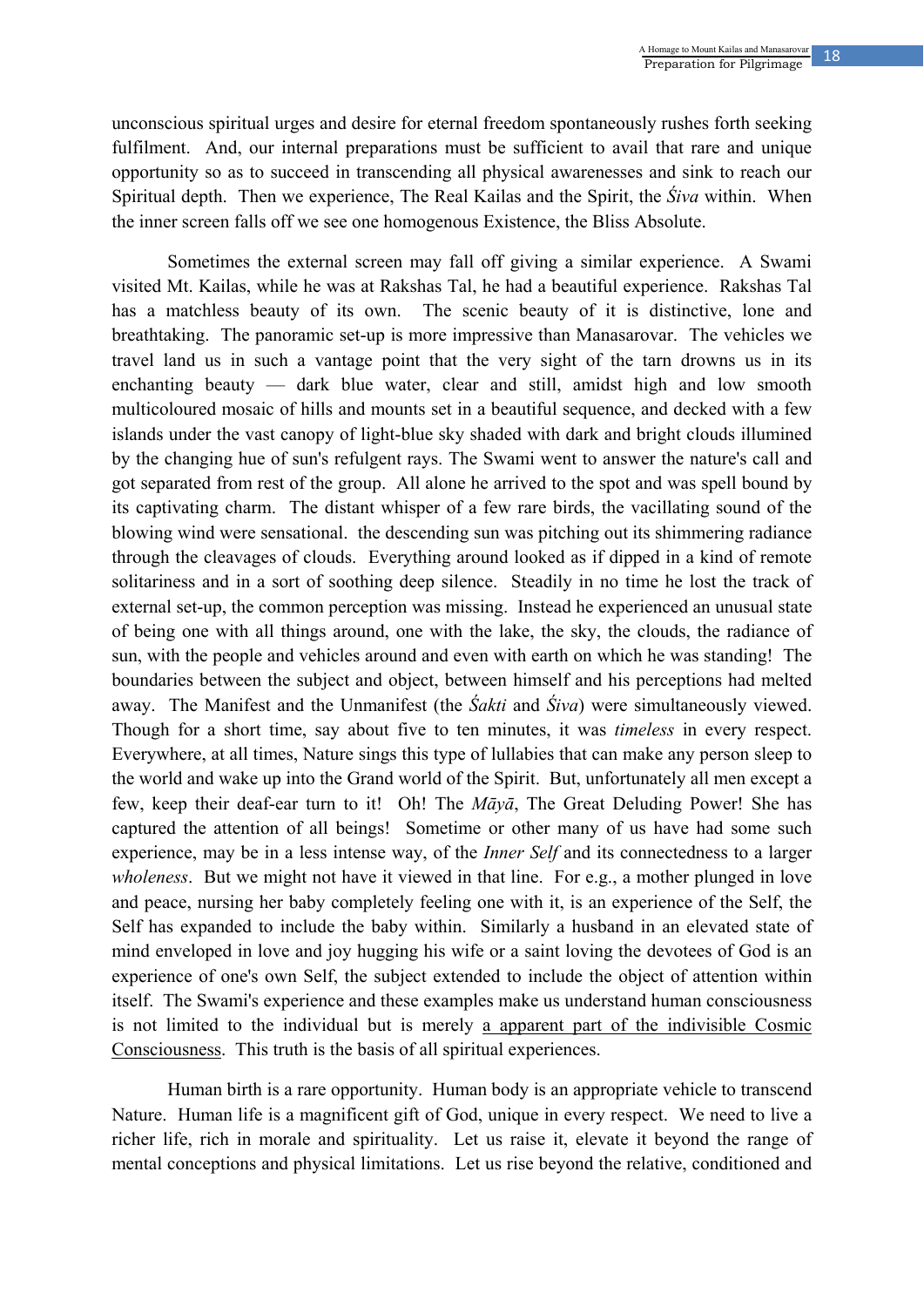unconscious spiritual urges and desire for eternal freedom spontaneously rushes forth seeking fulfilment. And, our internal preparations must be sufficient to avail that rare and unique opportunity so as to succeed in transcending all physical awarenesses and sink to reach our Spiritual depth. Then we experience, The Real Kailas and the Spirit, the *Śiva* within. When the inner screen falls off we see one homogenous Existence, the Bliss Absolute.

 Sometimes the external screen may fall off giving a similar experience. A Swami visited Mt. Kailas, while he was at Rakshas Tal, he had a beautiful experience. Rakshas Tal has a matchless beauty of its own. The scenic beauty of it is distinctive, lone and breathtaking. The panoramic set-up is more impressive than Manasarovar. The vehicles we travel land us in such a vantage point that the very sight of the tarn drowns us in its enchanting beauty — dark blue water, clear and still, amidst high and low smooth multicoloured mosaic of hills and mounts set in a beautiful sequence, and decked with a few islands under the vast canopy of light-blue sky shaded with dark and bright clouds illumined by the changing hue of sun's refulgent rays. The Swami went to answer the nature's call and got separated from rest of the group. All alone he arrived to the spot and was spell bound by its captivating charm. The distant whisper of a few rare birds, the vacillating sound of the blowing wind were sensational. the descending sun was pitching out its shimmering radiance through the cleavages of clouds. Everything around looked as if dipped in a kind of remote solitariness and in a sort of soothing deep silence. Steadily in no time he lost the track of external set-up, the common perception was missing. Instead he experienced an unusual state of being one with all things around, one with the lake, the sky, the clouds, the radiance of sun, with the people and vehicles around and even with earth on which he was standing! The boundaries between the subject and object, between himself and his perceptions had melted away. The Manifest and the Unmanifest (the *Śakti* and *Śiva*) were simultaneously viewed. Though for a short time, say about five to ten minutes, it was *timeless* in every respect. Everywhere, at all times, Nature sings this type of lullabies that can make any person sleep to the world and wake up into the Grand world of the Spirit. But, unfortunately all men except a few, keep their deaf-ear turn to it! Oh! The *Māyā*, The Great Deluding Power! She has captured the attention of all beings! Sometime or other many of us have had some such experience, may be in a less intense way, of the *Inner Self* and its connectedness to a larger *wholeness*. But we might not have it viewed in that line. For e.g., a mother plunged in love and peace, nursing her baby completely feeling one with it, is an experience of the Self, the Self has expanded to include the baby within. Similarly a husband in an elevated state of mind enveloped in love and joy hugging his wife or a saint loving the devotees of God is an experience of one's own Self, the subject extended to include the object of attention within itself. The Swami's experience and these examples make us understand human consciousness is not limited to the individual but is merely a apparent part of the indivisible Cosmic Consciousness. This truth is the basis of all spiritual experiences.

 Human birth is a rare opportunity. Human body is an appropriate vehicle to transcend Nature. Human life is a magnificent gift of God, unique in every respect. We need to live a richer life, rich in morale and spirituality. Let us raise it, elevate it beyond the range of mental conceptions and physical limitations. Let us rise beyond the relative, conditioned and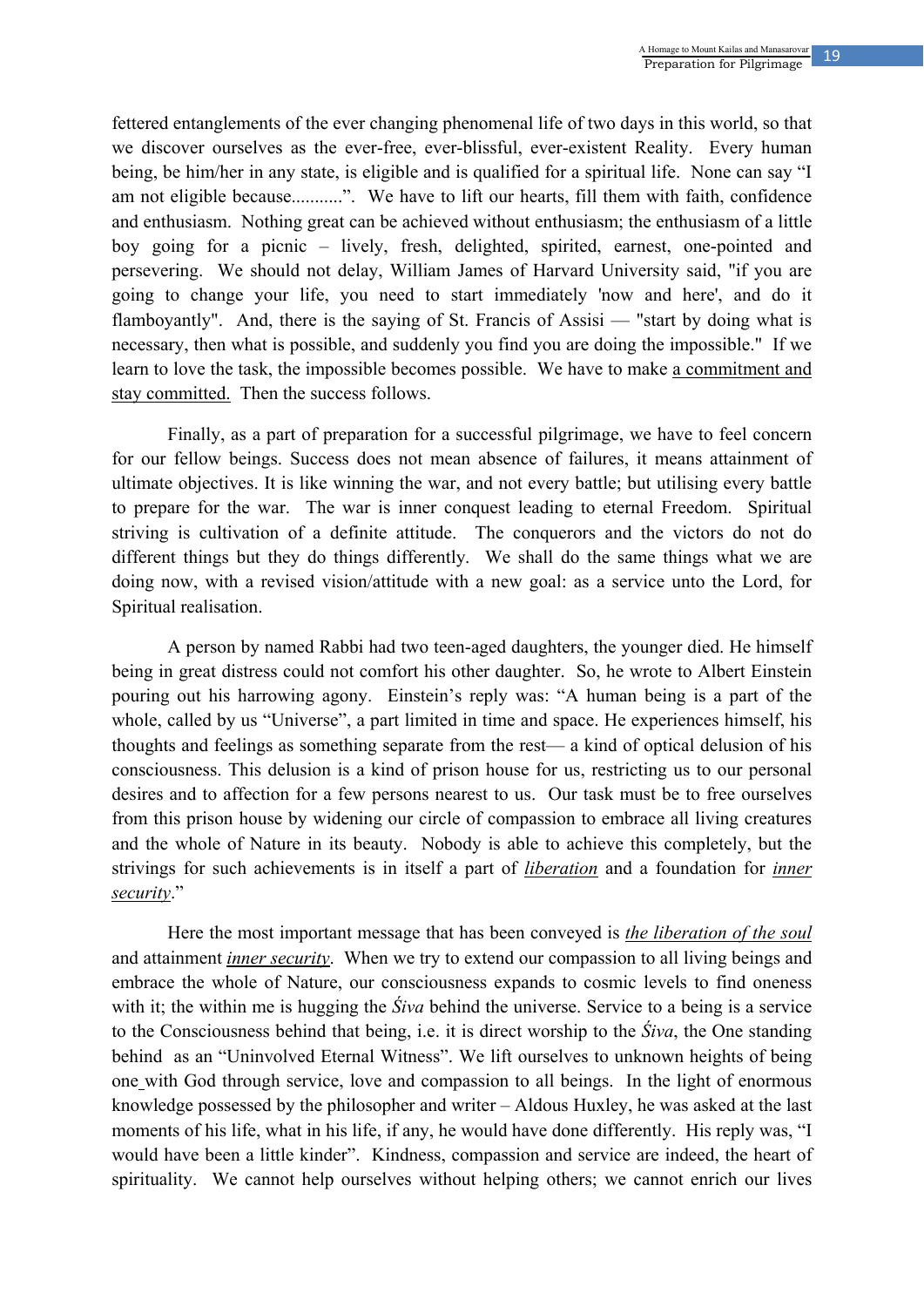fettered entanglements of the ever changing phenomenal life of two days in this world, so that we discover ourselves as the ever-free, ever-blissful, ever-existent Reality. Every human being, be him/her in any state, is eligible and is qualified for a spiritual life. None can say "I am not eligible because...........". We have to lift our hearts, fill them with faith, confidence and enthusiasm. Nothing great can be achieved without enthusiasm; the enthusiasm of a little boy going for a picnic – lively, fresh, delighted, spirited, earnest, one-pointed and persevering. We should not delay, William James of Harvard University said, "if you are going to change your life, you need to start immediately 'now and here', and do it flamboyantly". And, there is the saying of St. Francis of Assisi — "start by doing what is necessary, then what is possible, and suddenly you find you are doing the impossible." If we learn to love the task, the impossible becomes possible. We have to make a commitment and stay committed. Then the success follows.

 Finally, as a part of preparation for a successful pilgrimage, we have to feel concern for our fellow beings. Success does not mean absence of failures, it means attainment of ultimate objectives. It is like winning the war, and not every battle; but utilising every battle to prepare for the war. The war is inner conquest leading to eternal Freedom. Spiritual striving is cultivation of a definite attitude. The conquerors and the victors do not do different things but they do things differently. We shall do the same things what we are doing now, with a revised vision/attitude with a new goal: as a service unto the Lord, for Spiritual realisation.

 A person by named Rabbi had two teen-aged daughters, the younger died. He himself being in great distress could not comfort his other daughter. So, he wrote to Albert Einstein pouring out his harrowing agony. Einstein's reply was: "A human being is a part of the whole, called by us "Universe", a part limited in time and space. He experiences himself, his thoughts and feelings as something separate from the rest— a kind of optical delusion of his consciousness. This delusion is a kind of prison house for us, restricting us to our personal desires and to affection for a few persons nearest to us. Our task must be to free ourselves from this prison house by widening our circle of compassion to embrace all living creatures and the whole of Nature in its beauty. Nobody is able to achieve this completely, but the strivings for such achievements is in itself a part of *liberation* and a foundation for *inner security*."

 Here the most important message that has been conveyed is *the liberation of the soul* and attainment *inner security*. When we try to extend our compassion to all living beings and embrace the whole of Nature, our consciousness expands to cosmic levels to find oneness with it; the within me is hugging the *Śiva* behind the universe. Service to a being is a service to the Consciousness behind that being, i.e. it is direct worship to the *Śiva*, the One standing behind as an "Uninvolved Eternal Witness". We lift ourselves to unknown heights of being one with God through service, love and compassion to all beings. In the light of enormous knowledge possessed by the philosopher and writer – Aldous Huxley, he was asked at the last moments of his life, what in his life, if any, he would have done differently. His reply was, "I would have been a little kinder". Kindness, compassion and service are indeed, the heart of spirituality. We cannot help ourselves without helping others; we cannot enrich our lives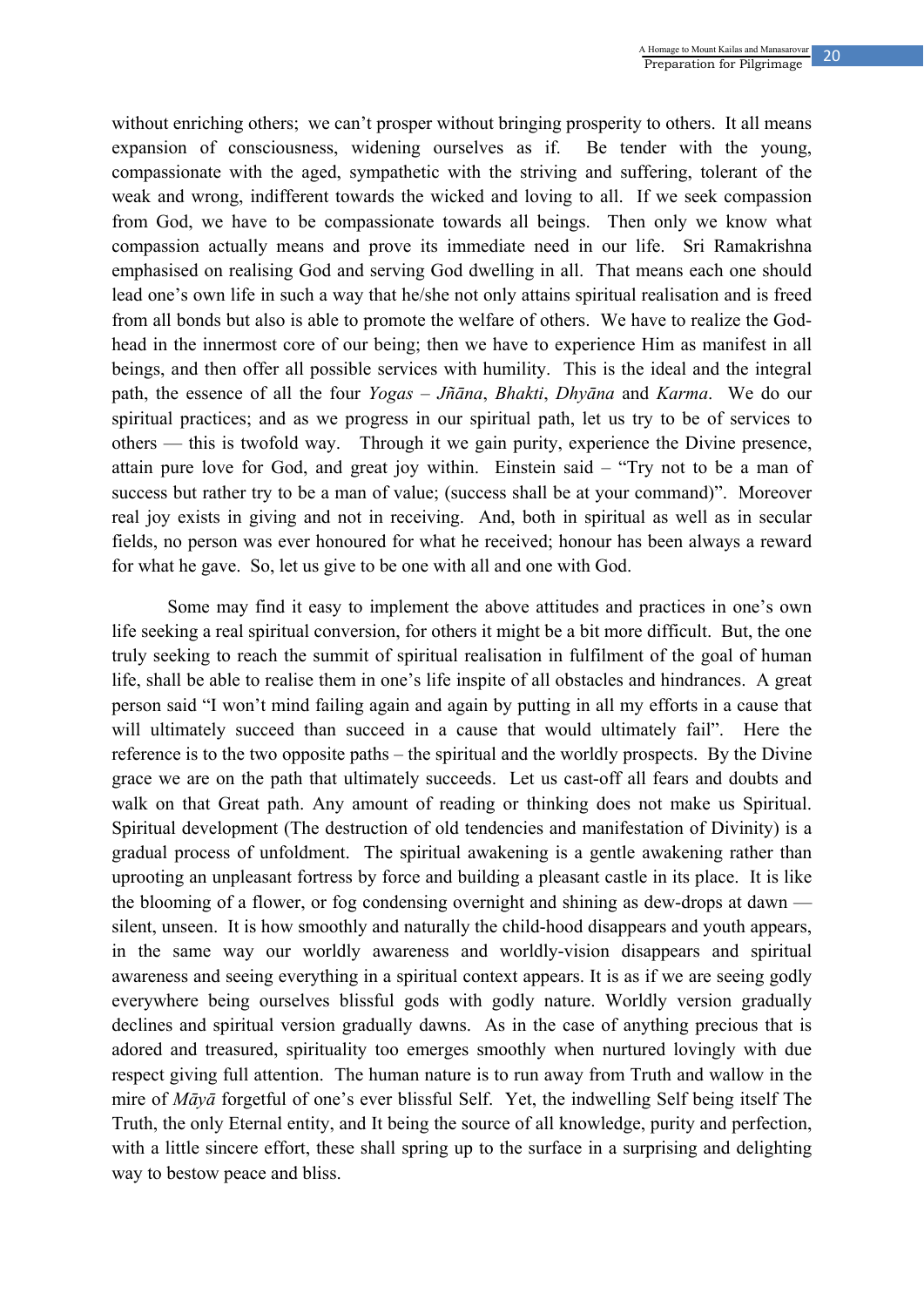without enriching others; we can't prosper without bringing prosperity to others. It all means expansion of consciousness, widening ourselves as if. Be tender with the young, compassionate with the aged, sympathetic with the striving and suffering, tolerant of the weak and wrong, indifferent towards the wicked and loving to all. If we seek compassion from God, we have to be compassionate towards all beings. Then only we know what compassion actually means and prove its immediate need in our life. Sri Ramakrishna emphasised on realising God and serving God dwelling in all. That means each one should lead one's own life in such a way that he/she not only attains spiritual realisation and is freed from all bonds but also is able to promote the welfare of others. We have to realize the Godhead in the innermost core of our being; then we have to experience Him as manifest in all beings, and then offer all possible services with humility. This is the ideal and the integral path, the essence of all the four *Yogas* – *Jñāna*, *Bhakti*, *Dhyāna* and *Karma*. We do our spiritual practices; and as we progress in our spiritual path, let us try to be of services to others — this is twofold way. Through it we gain purity, experience the Divine presence, attain pure love for God, and great joy within. Einstein said – "Try not to be a man of success but rather try to be a man of value; (success shall be at your command)". Moreover real joy exists in giving and not in receiving. And, both in spiritual as well as in secular fields, no person was ever honoured for what he received; honour has been always a reward for what he gave. So, let us give to be one with all and one with God.

 Some may find it easy to implement the above attitudes and practices in one's own life seeking a real spiritual conversion, for others it might be a bit more difficult. But, the one truly seeking to reach the summit of spiritual realisation in fulfilment of the goal of human life, shall be able to realise them in one's life inspite of all obstacles and hindrances. A great person said "I won't mind failing again and again by putting in all my efforts in a cause that will ultimately succeed than succeed in a cause that would ultimately fail". Here the reference is to the two opposite paths – the spiritual and the worldly prospects. By the Divine grace we are on the path that ultimately succeeds. Let us cast-off all fears and doubts and walk on that Great path. Any amount of reading or thinking does not make us Spiritual. Spiritual development (The destruction of old tendencies and manifestation of Divinity) is a gradual process of unfoldment. The spiritual awakening is a gentle awakening rather than uprooting an unpleasant fortress by force and building a pleasant castle in its place. It is like the blooming of a flower, or fog condensing overnight and shining as dew-drops at dawn silent, unseen. It is how smoothly and naturally the child-hood disappears and youth appears, in the same way our worldly awareness and worldly-vision disappears and spiritual awareness and seeing everything in a spiritual context appears. It is as if we are seeing godly everywhere being ourselves blissful gods with godly nature. Worldly version gradually declines and spiritual version gradually dawns. As in the case of anything precious that is adored and treasured, spirituality too emerges smoothly when nurtured lovingly with due respect giving full attention. The human nature is to run away from Truth and wallow in the mire of *Māyā* forgetful of one's ever blissful Self. Yet, the indwelling Self being itself The Truth, the only Eternal entity, and It being the source of all knowledge, purity and perfection, with a little sincere effort, these shall spring up to the surface in a surprising and delighting way to bestow peace and bliss.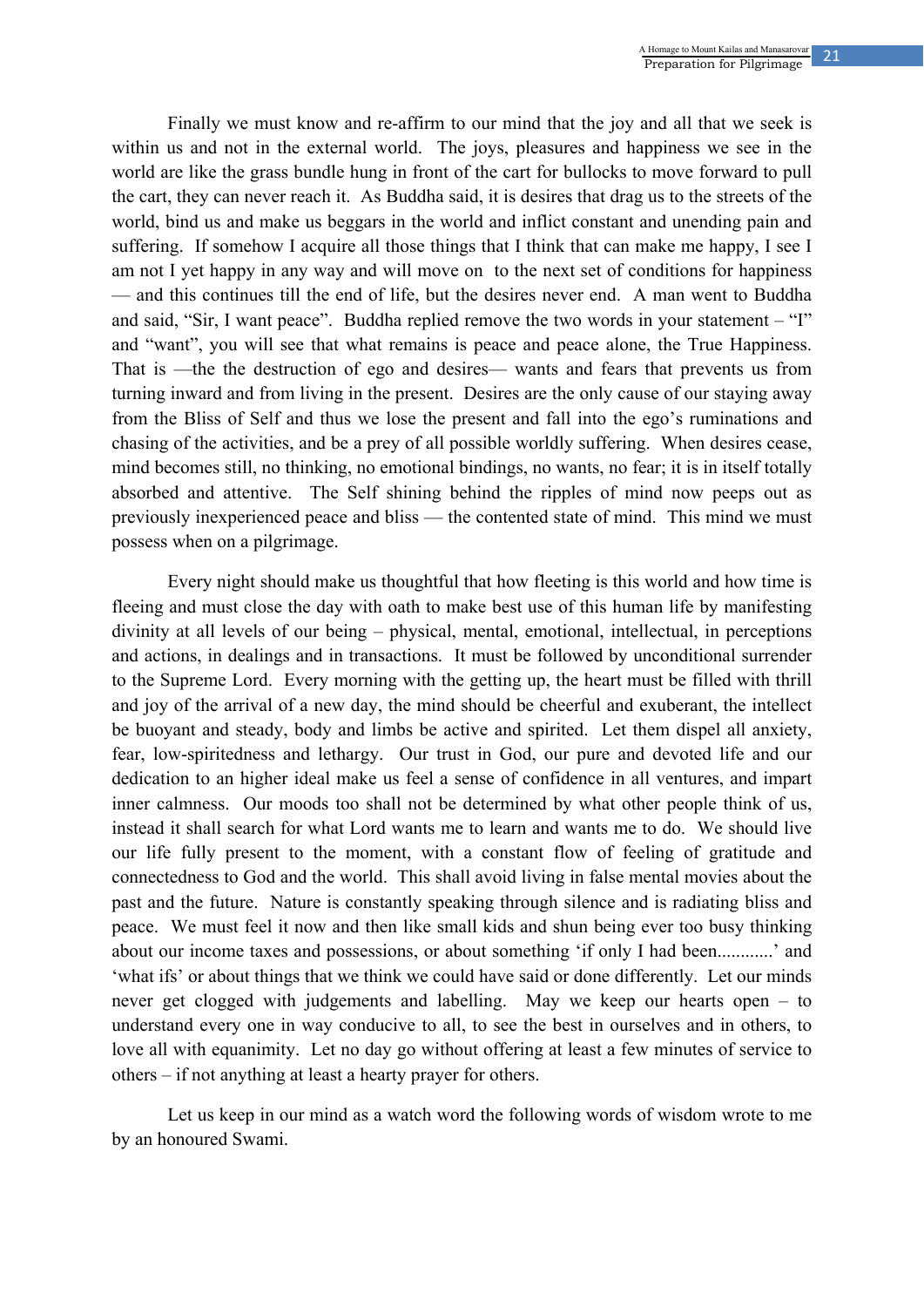Finally we must know and re-affirm to our mind that the joy and all that we seek is within us and not in the external world. The joys, pleasures and happiness we see in the world are like the grass bundle hung in front of the cart for bullocks to move forward to pull the cart, they can never reach it. As Buddha said, it is desires that drag us to the streets of the world, bind us and make us beggars in the world and inflict constant and unending pain and suffering. If somehow I acquire all those things that I think that can make me happy, I see I am not I yet happy in any way and will move on to the next set of conditions for happiness — and this continues till the end of life, but the desires never end. A man went to Buddha and said, "Sir, I want peace". Buddha replied remove the two words in your statement – "I" and "want", you will see that what remains is peace and peace alone, the True Happiness. That is —the the destruction of ego and desires— wants and fears that prevents us from turning inward and from living in the present. Desires are the only cause of our staying away from the Bliss of Self and thus we lose the present and fall into the ego's ruminations and chasing of the activities, and be a prey of all possible worldly suffering. When desires cease, mind becomes still, no thinking, no emotional bindings, no wants, no fear; it is in itself totally absorbed and attentive. The Self shining behind the ripples of mind now peeps out as previously inexperienced peace and bliss — the contented state of mind. This mind we must possess when on a pilgrimage.

 Every night should make us thoughtful that how fleeting is this world and how time is fleeing and must close the day with oath to make best use of this human life by manifesting divinity at all levels of our being – physical, mental, emotional, intellectual, in perceptions and actions, in dealings and in transactions. It must be followed by unconditional surrender to the Supreme Lord. Every morning with the getting up, the heart must be filled with thrill and joy of the arrival of a new day, the mind should be cheerful and exuberant, the intellect be buoyant and steady, body and limbs be active and spirited. Let them dispel all anxiety, fear, low-spiritedness and lethargy. Our trust in God, our pure and devoted life and our dedication to an higher ideal make us feel a sense of confidence in all ventures, and impart inner calmness. Our moods too shall not be determined by what other people think of us, instead it shall search for what Lord wants me to learn and wants me to do. We should live our life fully present to the moment, with a constant flow of feeling of gratitude and connectedness to God and the world. This shall avoid living in false mental movies about the past and the future. Nature is constantly speaking through silence and is radiating bliss and peace. We must feel it now and then like small kids and shun being ever too busy thinking about our income taxes and possessions, or about something 'if only I had been............' and 'what ifs' or about things that we think we could have said or done differently. Let our minds never get clogged with judgements and labelling. May we keep our hearts open – to understand every one in way conducive to all, to see the best in ourselves and in others, to love all with equanimity. Let no day go without offering at least a few minutes of service to others – if not anything at least a hearty prayer for others.

 Let us keep in our mind as a watch word the following words of wisdom wrote to me by an honoured Swami.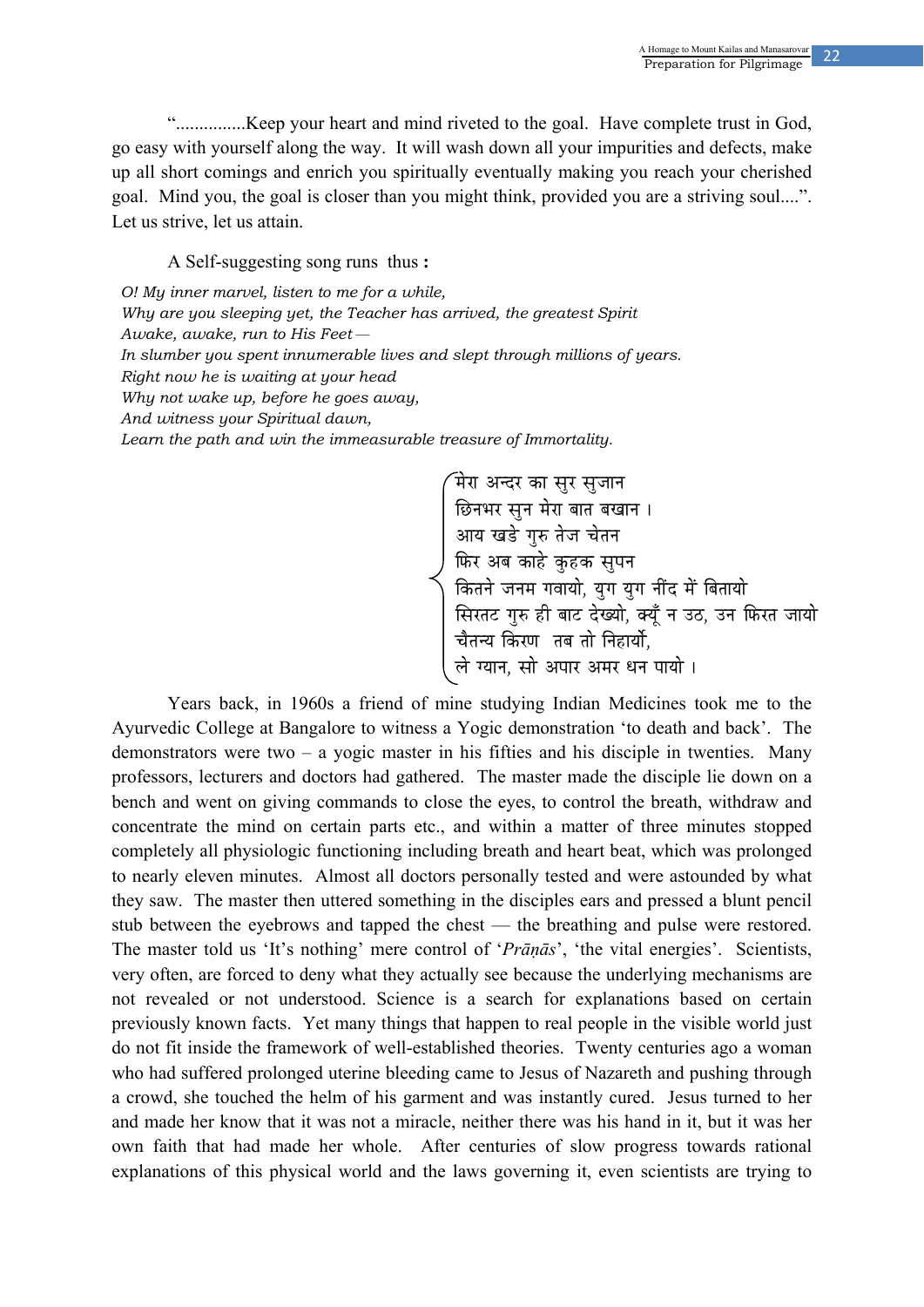"...............Keep your heart and mind riveted to the goal. Have complete trust in God, go easy with yourself along the way. It will wash down all your impurities and defects, make up all short comings and enrich you spiritually eventually making you reach your cherished goal. Mind you, the goal is closer than you might think, provided you are a striving soul....". Let us strive, let us attain.

#### A Self-suggesting song runs thus **:**

*O! My inner marvel, listen to me for a while, Why are you sleeping yet, the Teacher has arrived, the greatest Spirit Awake, awake, run to His Feet — In slumber you spent innumerable lives and slept through millions of years. Right now he is waiting at your head Why not wake up, before he goes away, And witness your Spiritual dawn, Learn the path and win the immeasurable treasure of Immortality.* 

> मेरा अन्दर का सुर सुजान छिनभर सुन मेरा बात बखान । आय खंडे गुरु तेज चेतन फिर अब काहे कुहक सुपन कितने जनम गवार्या, युग युग नींद में बितायो सिरतट गुरु ही बाट देख्यो, क्यूँ न उठ, उन फिरत जायो चैतन्य किरण) तब तो निहायों, ले ग्यान, सो अपार अमर धन पार्यो |

 Years back, in 1960s a friend of mine studying Indian Medicines took me to the Ayurvedic College at Bangalore to witness a Yogic demonstration 'to death and back'. The demonstrators were two  $-$  a yogic master in his fifties and his disciple in twenties. Many professors, lecturers and doctors had gathered. The master made the disciple lie down on a bench and went on giving commands to close the eyes, to control the breath, withdraw and concentrate the mind on certain parts etc., and within a matter of three minutes stopped completely all physiologic functioning including breath and heart beat, which was prolonged to nearly eleven minutes. Almost all doctors personally tested and were astounded by what they saw. The master then uttered something in the disciples ears and pressed a blunt pencil stub between the eyebrows and tapped the chest — the breathing and pulse were restored. The master told us 'It's nothing' mere control of '*Prāṇās*', 'the vital energies'. Scientists, very often, are forced to deny what they actually see because the underlying mechanisms are not revealed or not understood. Science is a search for explanations based on certain previously known facts. Yet many things that happen to real people in the visible world just do not fit inside the framework of well-established theories. Twenty centuries ago a woman who had suffered prolonged uterine bleeding came to Jesus of Nazareth and pushing through a crowd, she touched the helm of his garment and was instantly cured. Jesus turned to her and made her know that it was not a miracle, neither there was his hand in it, but it was her own faith that had made her whole. After centuries of slow progress towards rational explanations of this physical world and the laws governing it, even scientists are trying to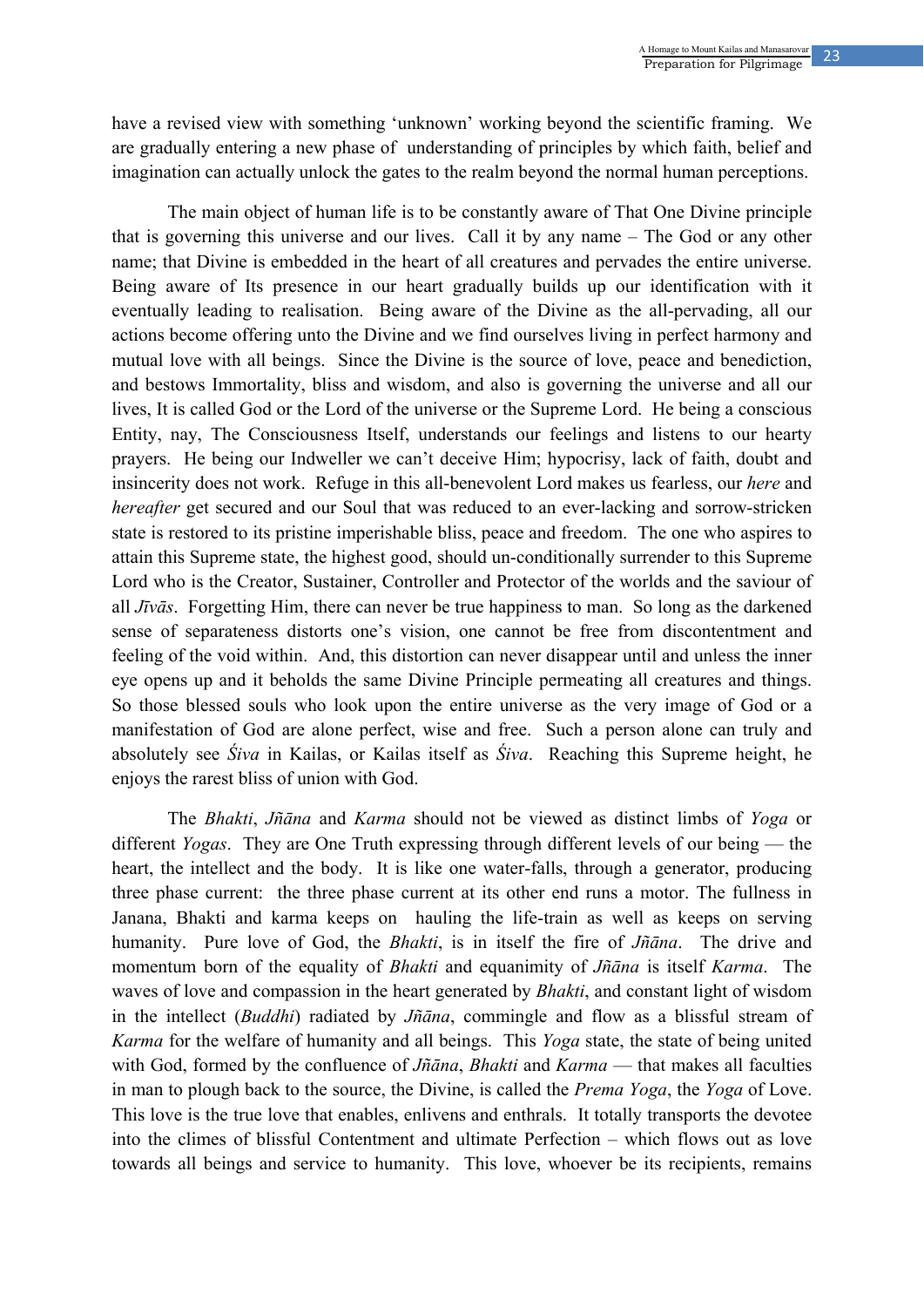have a revised view with something 'unknown' working beyond the scientific framing. We are gradually entering a new phase of understanding of principles by which faith, belief and imagination can actually unlock the gates to the realm beyond the normal human perceptions.

 The main object of human life is to be constantly aware of That One Divine principle that is governing this universe and our lives. Call it by any name – The God or any other name; that Divine is embedded in the heart of all creatures and pervades the entire universe. Being aware of Its presence in our heart gradually builds up our identification with it eventually leading to realisation. Being aware of the Divine as the all-pervading, all our actions become offering unto the Divine and we find ourselves living in perfect harmony and mutual love with all beings. Since the Divine is the source of love, peace and benediction, and bestows Immortality, bliss and wisdom, and also is governing the universe and all our lives, It is called God or the Lord of the universe or the Supreme Lord. He being a conscious Entity, nay, The Consciousness Itself, understands our feelings and listens to our hearty prayers. He being our Indweller we can't deceive Him; hypocrisy, lack of faith, doubt and insincerity does not work. Refuge in this all-benevolent Lord makes us fearless, our *here* and *hereafter* get secured and our Soul that was reduced to an ever-lacking and sorrow-stricken state is restored to its pristine imperishable bliss, peace and freedom. The one who aspires to attain this Supreme state, the highest good, should un-conditionally surrender to this Supreme Lord who is the Creator, Sustainer, Controller and Protector of the worlds and the saviour of all *Jīvās*. Forgetting Him, there can never be true happiness to man. So long as the darkened sense of separateness distorts one's vision, one cannot be free from discontentment and feeling of the void within. And, this distortion can never disappear until and unless the inner eye opens up and it beholds the same Divine Principle permeating all creatures and things. So those blessed souls who look upon the entire universe as the very image of God or a manifestation of God are alone perfect, wise and free. Such a person alone can truly and absolutely see *Śiva* in Kailas, or Kailas itself as *Śiva*. Reaching this Supreme height, he enjoys the rarest bliss of union with God.

 The *Bhakti*, *Jñāna* and *Karma* should not be viewed as distinct limbs of *Yoga* or different *Yogas*. They are One Truth expressing through different levels of our being — the heart, the intellect and the body. It is like one water-falls, through a generator, producing three phase current: the three phase current at its other end runs a motor. The fullness in Janana, Bhakti and karma keeps on hauling the life-train as well as keeps on serving humanity. Pure love of God, the *Bhakti*, is in itself the fire of *Jñāna*. The drive and momentum born of the equality of *Bhakti* and equanimity of *Jñāna* is itself *Karma*. The waves of love and compassion in the heart generated by *Bhakti*, and constant light of wisdom in the intellect (*Buddhi*) radiated by *Jñāna*, commingle and flow as a blissful stream of *Karma* for the welfare of humanity and all beings. This *Yoga* state, the state of being united with God, formed by the confluence of *Jñāna*, *Bhakti* and *Karma* — that makes all faculties in man to plough back to the source, the Divine, is called the *Prema Yoga*, the *Yoga* of Love. This love is the true love that enables, enlivens and enthrals. It totally transports the devotee into the climes of blissful Contentment and ultimate Perfection – which flows out as love towards all beings and service to humanity. This love, whoever be its recipients, remains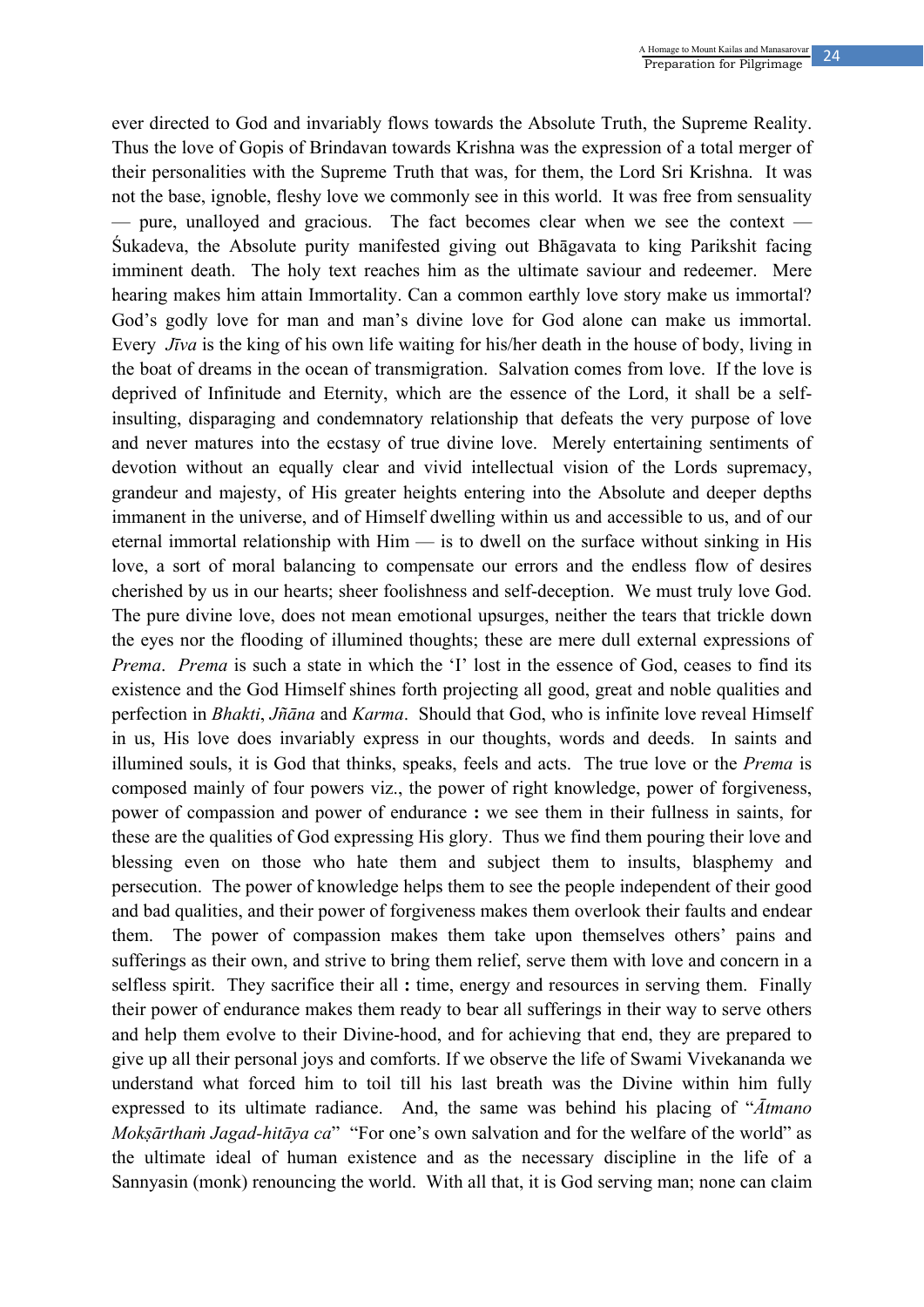ever directed to God and invariably flows towards the Absolute Truth, the Supreme Reality. Thus the love of Gopis of Brindavan towards Krishna was the expression of a total merger of their personalities with the Supreme Truth that was, for them, the Lord Sri Krishna. It was not the base, ignoble, fleshy love we commonly see in this world. It was free from sensuality — pure, unalloyed and gracious. The fact becomes clear when we see the context — Śukadeva, the Absolute purity manifested giving out Bhāgavata to king Parikshit facing imminent death. The holy text reaches him as the ultimate saviour and redeemer. Mere hearing makes him attain Immortality. Can a common earthly love story make us immortal? God's godly love for man and man's divine love for God alone can make us immortal. Every *Jīva* is the king of his own life waiting for his/her death in the house of body, living in the boat of dreams in the ocean of transmigration. Salvation comes from love. If the love is deprived of Infinitude and Eternity, which are the essence of the Lord, it shall be a selfinsulting, disparaging and condemnatory relationship that defeats the very purpose of love and never matures into the ecstasy of true divine love. Merely entertaining sentiments of devotion without an equally clear and vivid intellectual vision of the Lords supremacy, grandeur and majesty, of His greater heights entering into the Absolute and deeper depths immanent in the universe, and of Himself dwelling within us and accessible to us, and of our eternal immortal relationship with Him — is to dwell on the surface without sinking in His love, a sort of moral balancing to compensate our errors and the endless flow of desires cherished by us in our hearts; sheer foolishness and self-deception. We must truly love God. The pure divine love, does not mean emotional upsurges, neither the tears that trickle down the eyes nor the flooding of illumined thoughts; these are mere dull external expressions of *Prema. Prema* is such a state in which the 'I' lost in the essence of God, ceases to find its existence and the God Himself shines forth projecting all good, great and noble qualities and perfection in *Bhakti*, *Jñāna* and *Karma*. Should that God, who is infinite love reveal Himself in us, His love does invariably express in our thoughts, words and deeds. In saints and illumined souls, it is God that thinks, speaks, feels and acts. The true love or the *Prema* is composed mainly of four powers viz., the power of right knowledge, power of forgiveness, power of compassion and power of endurance **:** we see them in their fullness in saints, for these are the qualities of God expressing His glory. Thus we find them pouring their love and blessing even on those who hate them and subject them to insults, blasphemy and persecution. The power of knowledge helps them to see the people independent of their good and bad qualities, and their power of forgiveness makes them overlook their faults and endear them. The power of compassion makes them take upon themselves others' pains and sufferings as their own, and strive to bring them relief, serve them with love and concern in a selfless spirit. They sacrifice their all **:** time, energy and resources in serving them. Finally their power of endurance makes them ready to bear all sufferings in their way to serve others and help them evolve to their Divine-hood, and for achieving that end, they are prepared to give up all their personal joys and comforts. If we observe the life of Swami Vivekananda we understand what forced him to toil till his last breath was the Divine within him fully expressed to its ultimate radiance. And, the same was behind his placing of "*Ātmano Mokṣārthaṁ Jagad-hitāya ca*" "For one's own salvation and for the welfare of the world" as the ultimate ideal of human existence and as the necessary discipline in the life of a Sannyasin (monk) renouncing the world. With all that, it is God serving man; none can claim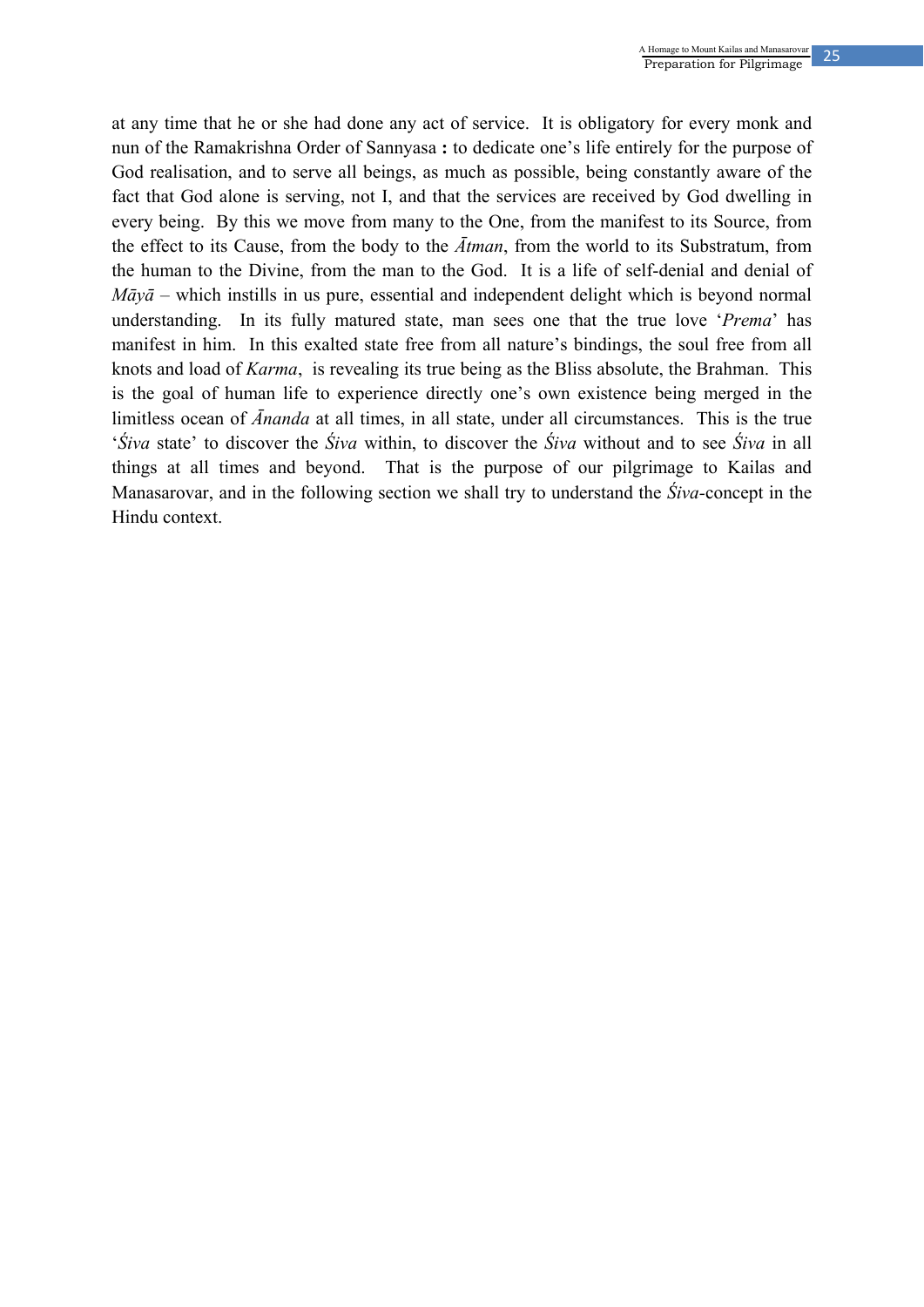at any time that he or she had done any act of service. It is obligatory for every monk and nun of the Ramakrishna Order of Sannyasa **:** to dedicate one's life entirely for the purpose of God realisation, and to serve all beings, as much as possible, being constantly aware of the fact that God alone is serving, not I, and that the services are received by God dwelling in every being. By this we move from many to the One, from the manifest to its Source, from the effect to its Cause, from the body to the *Ātman*, from the world to its Substratum, from the human to the Divine, from the man to the God. It is a life of self-denial and denial of  $M\bar{a}y\bar{a}$  – which instills in us pure, essential and independent delight which is beyond normal understanding. In its fully matured state, man sees one that the true love '*Prema*' has manifest in him. In this exalted state free from all nature's bindings, the soul free from all knots and load of *Karma*, is revealing its true being as the Bliss absolute, the Brahman. This is the goal of human life to experience directly one's own existence being merged in the limitless ocean of *Ānanda* at all times, in all state, under all circumstances. This is the true '*Śiva* state' to discover the *Śiva* within, to discover the *Śiva* without and to see *Śiva* in all things at all times and beyond. That is the purpose of our pilgrimage to Kailas and Manasarovar, and in the following section we shall try to understand the *Śiva-*concept in the Hindu context.